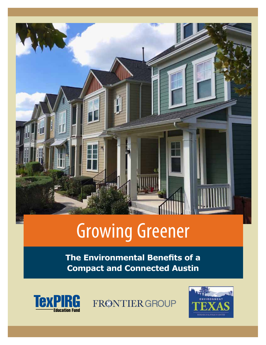

## **1000 Renewable Energy Renewable Energy Renewable Energy Renewable Energy Renewable Energy Renewable Property** Growing Greener

**Compact and Connected Austin The Environmental Benefits of a** 



FRØNTIER GROUP

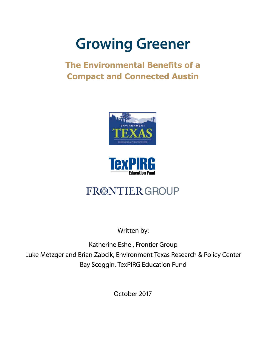# **Growing Greener**

### **The Environmental Benefits of a Compact and Connected Austin**





## FRØNTIER GROUP

Written by:

Katherine Eshel, Frontier Group Luke Metzger and Brian Zabcik, Environment Texas Research & Policy Center Bay Scoggin, TexPIRG Education Fund

October 2017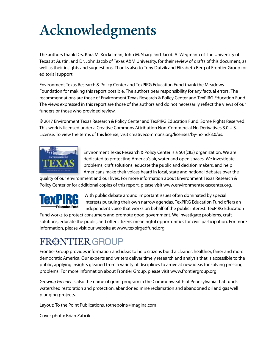# **Acknowledgments**

The authors thank Drs. Kara M. Kockelman, John M. Sharp and Jacob A. Wegmann of The University of Texas at Austin, and Dr. John Jacob of Texas A&M University, for their review of drafts of this document, as well as their insights and suggestions. Thanks also to Tony Dutzik and Elizabeth Berg of Frontier Group for editorial support.

Environment Texas Research & Policy Center and TexPIRG Education Fund thank the Meadows Foundation for making this report possible. The authors bear responsibility for any factual errors. The recommendations are those of Environment Texas Research & Policy Center and TexPIRG Education Fund. The views expressed in this report are those of the authors and do not necessarily reflect the views of our funders or those who provided review.

 2017 Environment Texas Research & Policy Center and TexPIRG Education Fund. Some Rights Reserved. This work is licensed under a Creative Commons Attribution Non-Commercial No Derivatives 3.0 U.S. License. To view the terms of this license, visit [creativecommons.org/licenses/by-nc-nd/3.0/us.](http://creativecommons.org/licenses/by-nc-nd/3.0/us)



Environment Texas Research & Policy Center is a 501(c)(3) organization. We are dedicated to protecting America's air, water and open spaces. We investigate problems, craft solutions, educate the public and decision makers, and help Americans make their voices heard in local, state and national debates over the

quality of our environment and our lives. For more information about Environment Texas Research & Policy Center or for additional copies of this report, please visit [www.environmenttexascenter.org.](https://environmenttexascenter.org/)



With public debate around important issues often dominated by special interests pursuing their own narrow agendas, TexPIRG Education Fund offers an independent voice that works on behalf of the public interest. TexPIRG Education

Fund works to protect consumers and promote good government. We investigate problems, craft solutions, educate the public, and offer citizens meaningful opportunities for civic participation. For more information, please visit our website at [www.texpirgedfund.org.](https://texpirgedfund.org/)

### FRØNTIER GROUP

Frontier Group provides information and ideas to help citizens build a cleaner, healthier, fairer and more democratic America. Our experts and writers deliver timely research and analysis that is accessible to the public, applying insights gleaned from a variety of disciplines to arrive at new ideas for solving pressing problems. For more information about Frontier Group, please visit [www.frontiergroup.org.](https://frontiergroup.org/)

*Growing Greener* is also the name of grant program in the Commonwealth of Pennsylvania that funds watershed restoration and protection, abandoned mine reclamation and abandoned oil and gas well plugging projects.

Layout: To the Point Publications, [tothepoint@imagina.com](mailto:tothepoint@imagina.com)

Cover photo: Brian Zabcik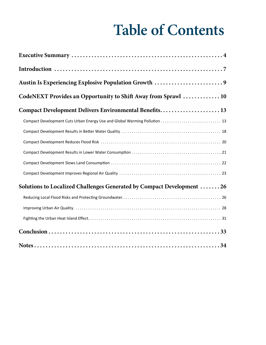# **Table of Contents**

| CodeNEXT Provides an Opportunity to Shift Away from Sprawl  10             |
|----------------------------------------------------------------------------|
| Compact Development Delivers Environmental Benefits 13                     |
| Compact Development Cuts Urban Energy Use and Global Warming Pollution  13 |
|                                                                            |
|                                                                            |
|                                                                            |
|                                                                            |
|                                                                            |
| Solutions to Localized Challenges Generated by Compact Development 26      |
|                                                                            |
|                                                                            |
|                                                                            |
|                                                                            |
|                                                                            |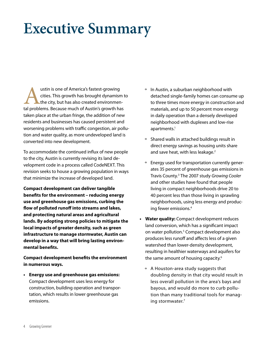# **Executive Summary**

ustin is one of America's fastest-growing<br>cities. This growth has brought dynamism<br>the city, but has also created environmental problems. Because much of Austin's growth ha cities. This growth has brought dynamism to the city, but has also created environmental problems. Because much of Austin's growth has taken place at the urban fringe, the addition of new residents and businesses has caused persistent and worsening problems with traffic congestion, air pollution and water quality, as more undeveloped land is converted into new development.

To accommodate the continued influx of new people to the city, Austin is currently revising its land development code in a process called CodeNEXT. This revision seeks to house a growing population in ways that minimize the increase of developed land.

**Compact development can deliver tangible benefits for the environment – reducing energy use and greenhouse gas emissions, curbing the flow of polluted runoff into streams and lakes, and protecting natural areas and agricultural lands. By adopting strong policies to mitigate the local impacts of greater density, such as green infrastructure to manage stormwater, Austin can develop in a way that will bring lasting environmental benefits.**

**Compact development benefits the environment in numerous ways.**

**• Energy use and greenhouse gas emissions:**  Compact development uses less energy for construction, building operation and transportation, which results in lower greenhouse gas emissions.

- º In Austin, a suburban neighborhood with detached single-family homes can consume up to three times more energy in construction and materials, and up to 50 percent more energy in daily operation than a densely developed neighborhood with duplexes and low-rise apartments.<sup>1</sup>
- º Shared walls in attached buildings result in direct energy savings as housing units share and save heat, with less leakage.<sup>2</sup>
- º Energy used for transportation currently generates 35 percent of greenhouse gas emissions in Travis County.3 The 2007 study *Growing Cooler* and other studies have found that people living in compact neighborhoods drive 20 to 40 percent less than those living in sprawling neighborhoods, using less energy and producing fewer emissions.4
- **• Water quality:** Compact development reduces land conversion, which has a significant impact on water pollution.<sup>5</sup> Compact development also produces less runoff and affects less of a given watershed than lower-density development, resulting in healthier waterways and aquifers for the same amount of housing capacity.<sup>6</sup>
	- º A Houston-area study suggests that doubling density in that city would result in less overall pollution in the area's bays and bayous, and would do more to curb pollution than many traditional tools for managing stormwater.7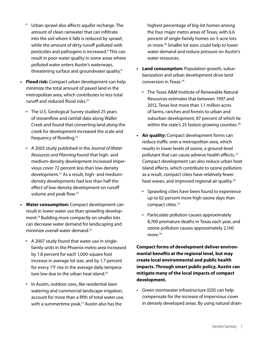- º Urban sprawl also affects aquifer recharge. The amount of clean rainwater that can infiltrate into the soil where it falls is reduced by sprawl, while the amount of dirty runoff polluted with pesticides and pathogens is increased.<sup>8</sup> This can result in poor water quality in some areas where polluted water enters Austin's waterways, threatening surface and groundwater quality.9
- **• Flood risk:** Compact urban development can help minimize the total amount of paved land in the metropolitan area, which contributes to less total runoff and reduced flood risks.10
	- º The U.S. Geological Survey studied 25 years of streamflow and rainfall data along Waller Creek and found that converting land along the creek for development increased the scale and frequency of flooding.<sup>11</sup>
	- º A 2003 study published in the *Journal of Water Resources and Planning* found that high- and medium-density development increased impervious cover 72 percent less than low-density development.12 As a result, high- and mediumdensity developments had less than half the effect of low-density development on runoff volume and peak flow.<sup>13</sup>
- **• Water consumption:** Compact development can result in lower water use than sprawling development.14 Building more compactly on smaller lots can decrease water demand for landscaping and minimize overall water demand.15
	- º A 2007 study found that water use in singlefamily units in the Phoenix metro area increased by 1.8 percent for each 1,000-square foot increase in average lot size, and by 1.7 percent for every 1°F rise in the average daily temperature low due to the urban heat island.16
	- º In Austin, outdoor uses, like residential lawn watering and commercial landscape irrigation, account for more than a fifth of total water use, with a summertime peak.<sup>17</sup> Austin also has the

highest percentage of big-lot homes among the four major metro areas of Texas, with 6.6 percent of single-family homes on 5-acre lots or more.18 Smaller lot sizes could help to lower water demand and reduce pressure on Austin's water resources.

- **• Land consumption:** Population growth, suburbanization and urban development drive land conversion in Texas.<sup>19</sup>
	- º The Texas A&M Institute of Renewable Natural Resources estimates that between 1997 and 2012, Texas lost more than 1.1 million acres of farms, ranches and forests to urban and suburban development, 87 percent of which lie within the state's 25 fastest-growing counties.<sup>20</sup>
- **• Air quality:** Compact development forms can reduce traffic over a metropolitan area, which results in lower levels of ozone, a ground-level pollutant that can cause adverse health effects. 21 Compact development can also reduce urban heat island effects, which contribute to ozone pollution; as a result, compact cities have relatively fewer heat waves, and improved regional air quality.<sup>22</sup>
	- º Sprawling cities have been found to experience up to 62 percent more high ozone days than compact cities.23
	- º Particulate pollution causes approximately 8,700 premature deaths in Texas each year, and ozone pollution causes approximately 2,100 more.<sup>24</sup>

**Compact forms of development deliver environmental benefits at the regional level, but may create local environmental and public health impacts. Through smart public policy, Austin can mitigate many of the local impacts of compact development.**

• Green stormwater infrastructure (GSI) can help compensate for the increase of impervious cover in densely developed areas. By using natural drain-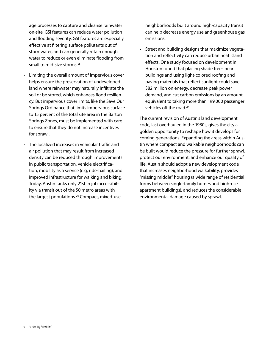age processes to capture and cleanse rainwater on-site, GSI features can reduce water pollution and flooding severity. GSI features are especially effective at filtering surface pollutants out of stormwater, and can generally retain enough water to reduce or even eliminate flooding from small to mid-size storms.<sup>25</sup>

- • Limiting the overall amount of impervious cover helps ensure the preservation of undeveloped land where rainwater may naturally infiltrate the soil or be stored, which enhances flood resiliency. But impervious cover limits, like the Save Our Springs Ordinance that limits impervious surface to 15 percent of the total site area in the Barton Springs Zones, must be implemented with care to ensure that they do not increase incentives for sprawl.
- • The localized increases in vehicular traffic and air pollution that may result from increased density can be reduced through improvements in public transportation, vehicle electrification, mobility as a service (e.g, ride-hailing), and improved infrastructure for walking and biking. Today, Austin ranks only 21st in job accessibility via transit out of the 50 metro areas with the largest populations.<sup>26</sup> Compact, mixed-use

neighborhoods built around high-capacity transit can help decrease energy use and greenhouse gas emissions.

• Street and building designs that maximize vegetation and reflectivity can reduce urban heat island effects. One study focused on development in Houston found that placing shade trees near buildings and using light-colored roofing and paving materials that reflect sunlight could save \$82 million on energy, decrease peak power demand, and cut carbon emissions by an amount equivalent to taking more than 199,000 passenger vehicles off the road.<sup>27</sup>

The current revision of Austin's land development code, last overhauled in the 1980s, gives the city a golden opportunity to reshape how it develops for coming generations. Expanding the areas within Austin where compact and walkable neighborhoods can be built would reduce the pressure for further sprawl, protect our environment, and enhance our quality of life. Austin should adopt a new development code that increases neighborhood walkability, provides "missing middle" housing (a wide range of residential forms between single-family homes and high-rise apartment buildings), and reduces the considerable environmental damage caused by sprawl.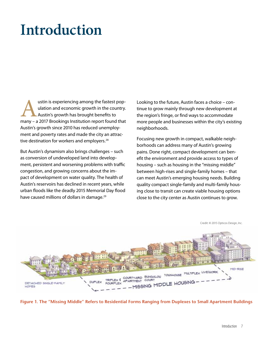# **Introduction**

Austin is experiencing among the fastest pop-<br>
ulation and economic growth in the country.<br>
Austin's growth has brought benefits to<br>
many – a 2017 Brookings Institution report found that ulation and economic growth in the country. Austin's growth has brought benefits to Austin's growth since 2010 has reduced unemployment and poverty rates and made the city an attractive destination for workers and employers.<sup>28</sup>

But Austin's dynamism also brings challenges – such as conversion of undeveloped land into development, persistent and worsening problems with traffic congestion, and growing concerns about the impact of development on water quality. The health of Austin's reservoirs has declined in recent years, while urban floods like the deadly 2015 Memorial Day flood have caused millions of dollars in damage.<sup>29</sup>

Looking to the future, Austin faces a choice – continue to grow mainly through new development at the region's fringe, or find ways to accommodate more people and businesses within the city's existing neighborhoods.

Focusing new growth in compact, walkable neighborhoods can address many of Austin's growing pains. Done right, compact development can benefit the environment and provide access to types of housing – such as housing in the "missing middle" between high-rises and single-family homes – that can meet Austin's emerging housing needs. Building quality compact single-family and multi-family housing close to transit can create viable housing options close to the city center as Austin continues to grow.



**Figure 1. The "Missing Middle" Refers to Residential Forms Ranging from Duplexes to Small Apartment Buildings**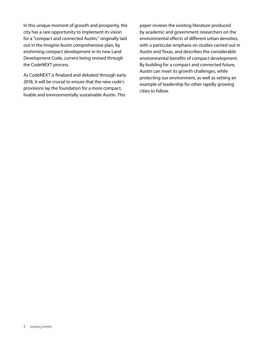In this unique moment of growth and prosperity, the city has a rare opportunity to implement its vision for a "compact and connected Austin," originally laid out in the *Imagine Austin* comprehensive plan, by enshrining compact development in its new Land Development Code, current being revised through the CodeNEXT process.

As CodeNEXT is finalized and debated through early 2018, it will be crucial to ensure that the new code's provisions lay the foundation for a more compact, livable and environmentally sustainable Austin. This

paper reviews the existing literature produced by academic and government researchers on the environmental effects of different urban densities, with a particular emphasis on studies carried out in Austin and Texas, and describes the considerable environmental benefits of compact development. By building for a compact and connected future, Austin can meet its growth challenges, while protecting our environment, as well as setting an example of leadership for other rapidly growing cities to follow.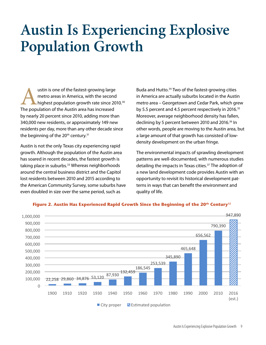# **Austin Is Experiencing Explosive Population Growth**

ustin is one of the fastest-growing large<br>metro areas in America, with the second<br>highest population growth rate since 20<br>The population of the Austin area has increased metro areas in America, with the second highest population growth rate since 2010.<sup>30</sup> The population of the Austin area has increased by nearly 20 percent since 2010, adding more than 340,000 new residents, or approximately 149 new residents per day, more than any other decade since the beginning of the  $20<sup>th</sup>$  century.<sup>31</sup>

Austin is not the only Texas city experiencing rapid growth. Although the population of the Austin area has soared in recent decades, the fastest growth is taking place in suburbs.<sup>33</sup> Whereas neighborhoods around the central business district and the Capitol lost residents between 2010 and 2015 according to the American Community Survey, some suburbs have even doubled in size over the same period, such as

Buda and Hutto.<sup>34</sup> Two of the fastest-growing cities in America are actually suburbs located in the Austin metro area – Georgetown and Cedar Park, which grew by 5.5 percent and 4.5 percent respectively in 2016.<sup>35</sup> Moreover, average neighborhood density has fallen, declining by 5 percent between 2010 and 2016.<sup>36</sup> In other words, people are moving to the Austin area, but a large amount of that growth has consisted of lowdensity development on the urban fringe.

The environmental impacts of sprawling development patterns are well-documented, with numerous studies detailing the impacts in Texas cities.<sup>37</sup> The adoption of a new land development code provides Austin with an opportunity to revisit its historical development patterns in ways that can benefit the environment and quality of life.



#### **Figure 2. Austin Has Experienced Rapid Growth Since the Beginning of the 20th Century<sup>32</sup>**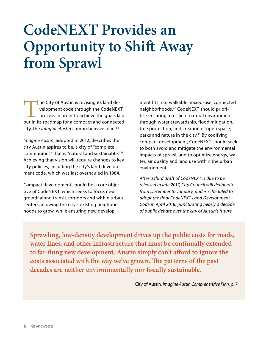# **CodeNEXT Provides an Opportunity to Shift Away from Sprawl**

The City of Austin is revising its land development code through the CodeNEXT process in order to achieve the goals laid out in its roadmap for a compact and connected city, the *Imagine Austin* comprehensive plan.38

*Imagine Austin*, adopted in 2012, describes the city Austin aspires to be, a city of "complete communities" that is "natural and sustainable."39 Achieving that vision will require changes to key city policies, including the city's land development code, which was last overhauled in 1984.

Compact development should be a core objective of CodeNEXT, which seeks to focus new growth along transit corridors and within urban centers, allowing the city's existing neighborhoods to grow, while ensuring new development fits into walkable, mixed-use, connected neighborhoods.40 CodeNEXT should prioritize ensuring a resilient natural environment through water stewardship, flood mitigation, tree protection, and creation of open space, parks and nature in the city.<sup>41</sup> By codifying compact development, CodeNEXT should seek to both avoid and mitigate the environmental impacts of sprawl, and to optimize energy, water, air quality and land use within the urban environment.

*After a third draft of CodeNEXT is due to be released in late 2017, City Council will deliberate from December to January, and is scheduled to adopt the final CodeNEXT Land Development Code in April 2018, punctuating nearly a decade of public debate over the city of Austin's future.*

**Sprawling, low-density development drives up the public costs for roads, water lines, and other infrastructure that must be continually extended to far-flung new development. Austin simply can't afford to ignore the costs associated with the way we've grown. The patterns of the past decades are neither environmentally nor fiscally sustainable.**

City of Austin, *Imagine Austin Comprehensive Plan*, p. 7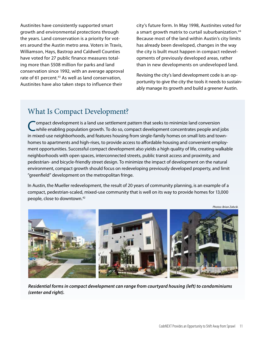Austinites have consistently supported smart growth and environmental protections through the years. Land conservation is a priority for voters around the Austin metro area. Voters in Travis, Williamson, Hays, Bastrop and Caldwell Counties have voted for 27 public finance measures totaling more than \$508 million for parks and land conservation since 1992, with an average approval rate of 61 percent.<sup>43</sup> As well as land conservation, Austinites have also taken steps to influence their

city's future form. In May 1998, Austinites voted for a smart growth matrix to curtail suburbanization.<sup>44</sup> Because most of the land within Austin's city limits has already been developed, changes in the way the city is built must happen in compact redevelopments of previously developed areas, rather than in new developments on undeveloped land.

Revising the city's land development code is an opportunity to give the city the tools it needs to sustainably manage its growth and build a greener Austin.

### What Is Compact Development?

Compact development is a land use settlement pattern that seeks to minimize land conversion<br>
While enabling population growth. To do so, compact development concentrates people and jobs in mixed-use neighborhoods, and features housing from single-family homes on small lots and townhomes to apartments and high-rises, to provide access to affordable housing and convenient employment opportunities. Successful compact development also yields a high quality of life, creating walkable neighborhoods with open spaces, interconnected streets, public transit access and proximity, and pedestrian- and bicycle-friendly street design. To minimize the impact of development on the natural environment, compact growth should focus on redeveloping previously developed property, and limit "greenfield" development on the metropolitan fringe.

In Austin, the Mueller redevelopment, the result of 20 years of community planning, is an example of a compact, pedestrian-scaled, mixed-use community that is well on its way to provide homes for 13,000 people, close to downtown.<sup>42</sup>

*Residential forms in compact development can range from courtyard housing (left) to condominiums (center and right).* 

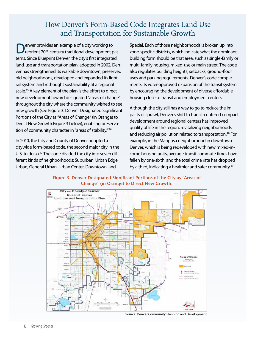### How Denver's Form-Based Code Integrates Land Use and Transportation for Sustainable Growth

enver provides an example of a city working to reorient 20<sup>th</sup>-century traditional development patterns. Since Blueprint Denver, the city's first integrated land-use and transportation plan, adopted in 2002, Denver has strengthened its walkable downtown, preserved old neighborhoods, developed and expanded its light rail system and rethought sustainability at a regional scale.<sup>45</sup> A key element of the plan is the effort to direct new development toward designated "areas of change" throughout the city where the community wished to see new growth (see [Figure 3. Denver Designated Significant](#page-12-0)  [Portions of the City as "Areas of Change" \(in Orange\) to](#page-12-0)  [Direct New Growth.](#page-12-0)Figure 3 below), enabling preservation of community character in "areas of stability."<sup>46</sup>

In 2010, the City and County of Denver adopted a citywide form-based code, the second major city in the U.S. to do so.<sup>47</sup> The code divided the city into seven different kinds of neighborhoods: Suburban, Urban Edge, Urban, General Urban, Urban Center, Downtown, and

Special. Each of those neighborhoods is broken up into zone-specific districts, which indicate what the dominant building form should be that area, such as single-family or multi-family housing, mixed-use or main street. The code also regulates building heights, setbacks, ground-floor uses and parking requirements. Denver's code complements its voter-approved expansion of the transit system by encouraging the development of diverse affordable housing close to transit and employment centers.

Although the city still has a way to go to reduce the impacts of sprawl, Denver's shift to transit-centered compact development around regional centers has improved quality of life in the region, revitalizing neighborhoods and reducing air pollution related to transportation.<sup>48</sup> For example, in the Mariposa neighborhood in downtown Denver, which is being redeveloped with new mixed-income housing units, average transit commute times have fallen by one-sixth, and the total crime rate has dropped by a third, indicating a healthier and safer community.<sup>49</sup>

<span id="page-12-0"></span>**Figure 3. Denver Designated Significant Portions of the City as "Areas of Change" (in Orange) to Direct New Growth.**



Source: Denver Community Planning and Development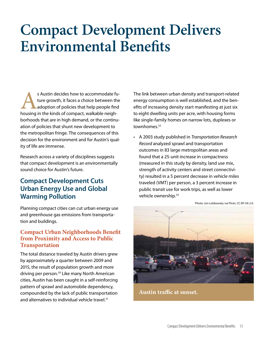## **Compact Development Delivers Environmental Benefits**

s Austin decides how to accommodate fu-<br>ture growth, it faces a choice between the<br>adoption of policies that help people find<br>housing in the kinds of compact, walkable neighture growth, it faces a choice between the adoption of policies that help people find borhoods that are in high demand, or the continuation of policies that shunt new development to the metropolitan fringe. The consequences of this decision for the environment and for Austin's quality of life are immense.

Research across a variety of disciplines suggests that compact development is an environmentally sound choice for Austin's future.

### **Compact Development Cuts Urban Energy Use and Global Warming Pollution**

Planning compact cities can cut urban energy use and greenhouse gas emissions from transportation and buildings.

#### **Compact Urban Neighborhoods Benefit from Proximity and Access to Public Transportation**

The total distance traveled by Austin drivers grew by approximately a quarter between 2009 and 2015, the result of population growth and more driving per person.<sup>50</sup> Like many North American cities, Austin has been caught in a self-reinforcing pattern of sprawl and automobile dependency, compounded by the lack of public transportation and alternatives to individual vehicle travel.<sup>51</sup>

The link between urban density and transport-related energy consumption is well established, and the benefits of increasing density start manifesting at just six to eight dwelling units per acre, with housing forms like single-family homes on narrow lots, duplexes or townhomes.<sup>52</sup>

• A 2003 study published in *Transportation Research Record* analyzed sprawl and transportation outcomes in 83 large metropolitan areas and found that a 25-unit increase in compactness (measured in this study by density, land use mix, strength of activity centers and street connectivity) resulted in a 5 percent decrease in vehicle miles traveled (VMT) per person, a 3 percent increase in public transit use for work trips, as well as lower vehicle ownership.53



**Austin traffic at sunset.**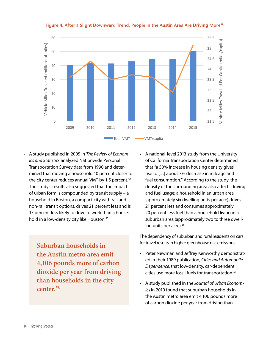

Figure 4. After a Slight Downward Trend, People in the Austin Area Are Driving More<sup>59</sup>

• A study published in 2005 in *The Review of Economics and Statistics* analyzed Nationwide Personal Transportation Survey data from 1990 and determined that moving a household 10 percent closer to the city center reduces annual VMT by 1.5 percent.<sup>54</sup> The study's results also suggested that the impact of urban form is compounded by transit supply – a household in Boston, a compact city with rail and non-rail transit options, drives 21 percent less and is 17 percent less likely to drive to work than a household in a low-density city like Houston.<sup>55</sup>

> **Suburban households in the Austin metro area emit 4,106 pounds more of carbon dioxide per year from driving than households in the city center.58**

• A national-level 2013 study from the University of California Transportation Center determined that "a 50% increase in housing density gives rise to […] about 7% decrease in mileage and fuel consumption." According to the study, the density of the surrounding area also affects driving and fuel usage; a household in an urban area (approximately six dwelling units per acre) drives 21 percent less and consumes approximately 20 percent less fuel than a household living in a suburban area (approximately two to three dwelling units per acre).<sup>56</sup>

The dependency of suburban and rural residents on cars for travel results in higher greenhouse gas emissions.

- Peter Newman and Jeffrey Kenworthy demonstrated in their 1989 publication, *Cities and Automobile Dependence*, that low-density, car-dependent cities use more fossil fuels for transportation.<sup>57</sup>
- • A study published in the *Journal of Urban Economics* in 2010 found that suburban households in the Austin metro area emit 4,106 pounds more of carbon dioxide per year from driving than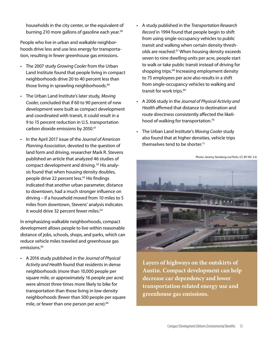households in the city center, or the equivalent of burning 210 more gallons of gasoline each year.<sup>58</sup>

People who live in urban and walkable neighborhoods drive less and use less energy for transportation, resulting in fewer greenhouse gas emissions.

- • The 2007 study *Growing Cooler* from the Urban Land Institute found that people living in compact neighborhoods drive 20 to 40 percent less than those living in sprawling neighborhoods.<sup>60</sup>
- • The Urban Land Institute's later study, *Moving Cooler*, concluded that if 60 to 90 percent of new development were built as compact development and coordinated with transit, it could result in a 9 to 15 percent reduction in U.S. transportation carbon dioxide emissions by 2050.<sup>61</sup>
- In the April 2017 issue of the *Journal of American Planning Association,* devoted to the question of land form and driving, researcher Mark R. Stevens published an article that analyzed 46 studies of compact development and driving. 62 His analysis found that when housing density doubles, people drive 22 percent less.<sup>63</sup> His findings indicated that another urban parameter, distance to downtown, had a much stronger influence on driving – if a household moved from 10 miles to 5 miles from downtown, Stevens' analysis indicates it would drive 32 percent fewer miles.<sup>64</sup>

In emphasizing walkable neighborhoods, compact development allows people to live within reasonable distance of jobs, schools, shops, and parks, which can reduce vehicle miles traveled and greenhouse gas emissions.<sup>65</sup>

• A 2016 study published in the *Journal of Physical Activity and Health* found that residents in dense neighborhoods (more than 10,000 people per square mile, or approximately 16 people per acre) were almost three times more likely to bike for transportation than those living in low-density neighborhoods (fewer than 500 people per square mile, or fewer than one person per acre).<sup>66</sup>

- • A study published in the *Transportation Research Record* in 1994 found that people begin to shift from using single-occupancy vehicles to public transit and walking when certain density thresholds are reached.67 When housing density exceeds seven to nine dwelling units per acre, people start to walk or take public transit instead of driving for shopping trips.<sup>68</sup> Increasing employment density to 75 employees per acre also results in a shift from single-occupancy vehicles to walking and transit for work trips.<sup>69</sup>
- • A 2006 study in the *Journal of Physical Activity and Health* affirmed that distance to destination and route directness consistently affected the likelihood of walking for transportation.<sup>70</sup>
- • The Urban Land Institute's *Moving Cooler* study also found that at higher densities, vehicle trips themselves tend to be shorter.<sup>71</sup>

Photo: Jeremy Stenberg via Flickr, CC-BY-NC 2.0.



**Layers of highways on the outskirts of Austin. Compact development can help decrease car dependency and lower transportation-related energy use and greenhouse gas emissions.**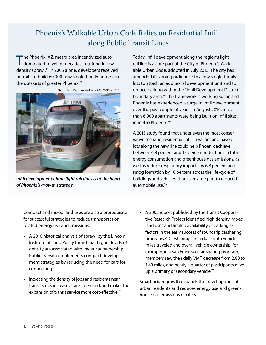### Phoenix's Walkable Urban Code Relies on Residential Infill along Public Transit Lines

The Phoenix, AZ, metro area incentivized autodominated travel for decades, resulting in lowdensity sprawl.76 In 2005 alone, developers received permits to build 60,000 new single-family homes on the outskirts of greater Phoenix.<sup>77</sup>



*Infill development along light rail lines is at the heart of Phoenix's growth strategy.* 

Today, infill development along the region's light rail line is a core part of the City of Phoenix's Walkable Urban Code, adopted in July 2015. The city has amended its zoning ordinance to allow single-family lots to attach an additional development unit and to reduce parking within the "Infill Development District" boundary area.78 The framework is working so far, and Phoenix has experienced a surge in infill development over the past couple of years; in August 2016, more than 8,000 apartments were being built on infill sites in metro Phoenix.79

A 2013 study found that under even the most conservative scenario, residential infill in vacant and paved lots along the new line could help Phoenix achieve between 6.8 percent and 13 percent reductions in total energy consumption and greenhouse gas emissions, as well as reduce respiratory impacts by 6.8 percent and smog formation by 10 percent across the life-cycle of buildings and vehicles, thanks in large part to reduced automobile use.<sup>80</sup>

Compact and mixed land uses are also a prerequisite for successful strategies to reduce transportationrelated energy use and emissions.

- • A 2010 historical analysis of sprawl by the Lincoln Institute of Land Policy found that higher levels of density are associated with lower car ownership.<sup>72</sup> Public transit complements compact development strategies by reducing the need for cars for commuting.
- Increasing the density of jobs and residents near transit stops increases transit demand, and makes the expansion of transit service more cost-effective.<sup>73</sup>
- • A 2005 report published by the Transit Cooperative Research Project identified high density, mixed land uses and limited availability of parking as factors in the early success of roundtrip carsharing programs.74 Carsharing can reduce both vehicle miles traveled and overall vehicle ownership; for example, in a San Francisco car-sharing program, members saw their daily VMT decrease from 2.80 to 1.49 miles, and nearly a quarter of participants gave up a primary or secondary vehicle.<sup>75</sup>

Smart urban growth expands the travel options of urban residents and reduces energy use and greenhouse gas emissions of cities.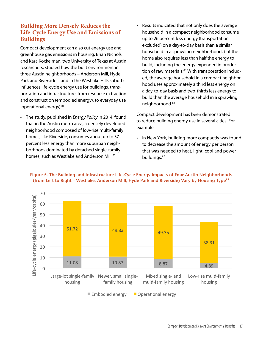#### **Building More Densely Reduces the Life-Cycle Energy Use and Emissions of Buildings**

Compact development can also cut energy use and greenhouse gas emissions in housing. Brian Nichols and Kara Kockelman, two University of Texas at Austin researchers, studied how the built environment in three Austin neighborhoods – Anderson Mill, Hyde Park and Riverside – and in the Westlake Hills suburb influences life-cycle energy use for buildings, transportation and infrastructure, from resource extraction and construction (embodied energy), to everyday use (operational energy).81

- • The study, published in *Energy Policy* in 2014, found that in the Austin metro area, a densely developed neighborhood composed of low-rise multi-family homes, like Riverside, consumes about up to 37 percent less energy than more suburban neighborhoods dominated by detached single-family homes, such as Westlake and Anderson Mill.<sup>82</sup>
- Results indicated that not only does the average household in a compact neighborhood consume up to 26 percent less energy (transportation excluded) on a day-to-day basis than a similar household in a sprawling neighborhood, but the home also requires less than half the energy to build, including the energy expended in production of raw materials.<sup>83</sup> With transportation included, the average household in a compact neighborhood uses approximately a third less energy on a day-to-day basis and two-thirds less energy to build than the average household in a sprawling neighborhood.<sup>84</sup>

Compact development has been demonstrated to reduce building energy use in several cities. For example:

• In New York, building more compactly was found to decrease the amount of energy per person that was needed to heat, light, cool and power buildings.86



#### **Figure 5. The Building and Infrastructure Life-Cycle Energy Impacts of Four Austin Neighborhoods (from Left to Right – Westlake, Anderson Mill, Hyde Park and Riverside) Vary by Housing Type85**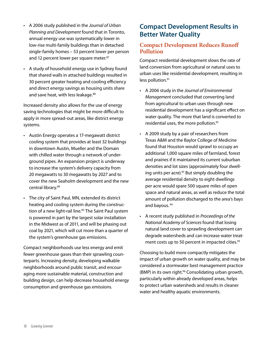- • A 2006 study published in the *Journal of Urban Planning and Development* found that in Toronto, annual energy use was systematically lower in low-rise multi-family buildings than in detached single-family homes – 53 percent lower per person and 12 percent lower per square meter.<sup>87</sup>
- • A study of household energy use in Sydney found that shared walls in attached buildings resulted in 30 percent greater heating and cooling efficiency and direct energy savings as housing units share and save heat, with less leakage.<sup>88</sup>

Increased density also allows for the use of energy saving technologies that might be more difficult to apply in more spread-out areas, like district energy systems.

- • Austin Energy operates a 17-megawatt district cooling system that provides at least 32 buildings in downtown Austin, Mueller and the Domain with chilled water through a network of underground pipes. An expansion project is underway to increase the system's delivery capacity from 20 megawatts to 30 megawatts by 2027 and to cover the new Seaholm development and the new central library.89
- • The city of Saint Paul, MN, extended its district heating and cooling system during the construction of a new light-rail line.<sup>90</sup> The Saint Paul system is powered in part by the largest solar installation in the Midwest as of 2011, and will be phasing out coal by 2021, which will cut more than a quarter of the system's greenhouse gas emissions.

Compact neighborhoods use less energy and emit fewer greenhouse gases than their sprawling counterparts. Increasing density, developing walkable neighborhoods around public transit, and encouraging more sustainable material, construction and building design, can help decrease household energy consumption and greenhouse gas emissions.

### **Compact Development Results in Better Water Quality**

#### **Compact Development Reduces Runoff Pollution**

Compact residential development slows the rate of land conversion from agricultural or natural uses to urban uses like residential development, resulting in less pollution.<sup>91</sup>

- • A 2006 study in the *Journal of Environmental Management* concluded that converting land from agricultural to urban uses through new residential development has a significant effect on water quality. The more that land is converted to residential uses, the more pollution.<sup>92</sup>
- • A 2009 study by a pair of researchers from Texas A&M and the Baylor College of Medicine found that Houston would sprawl to occupy an additional 1,000 square miles of farmland, forest and prairies if it maintained its current suburban densities and lot sizes (approximately four dwelling units per acre). $93$  But simply doubling the average residential density to eight dwellings per acre would spare 500 square miles of open space and natural areas, as well as reduce the total amount of pollution discharged to the area's bays and bayous.<sup>94</sup>
- • A recent study published in *Proceedings of the National Academy of Sciences* found that losing natural land cover to sprawling development can degrade watersheds and can increase water treatment costs up to 50 percent in impacted cities.<sup>95</sup>

Choosing to build more compactly mitigates the impact of urban growth on water quality, and may be considered a stormwater best management practice (BMP) in its own right.<sup>96</sup> Consolidating urban growth, particularly within already developed areas, helps to protect urban watersheds and results in cleaner water and healthy aquatic environments.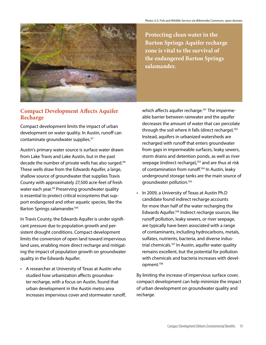

**Protecting clean water in the Barton Springs Aquifer recharge zone is vital to the survival of the endangered Barton Springs salamander.**

#### **Compact Development Affects Aquifer Recharge**

Compact development limits the impact of urban development on water quality. In Austin, runoff can contaminate groundwater supplies.<sup>97</sup>

Austin's primary water source is surface water drawn from Lake Travis and Lake Austin, but in the past decade the number of private wells has also surged.<sup>98</sup> These wells draw from the Edwards Aquifer, a large, shallow source of groundwater that supplies Travis County with approximately 27,500 acre-feet of fresh water each year.<sup>99</sup> Preserving groundwater quality is essential to protect critical ecosystems that support endangered and other aquatic species, like the Barton Springs salamander.100

In Travis County, the Edwards Aquifer is under significant pressure due to population growth and persistent drought conditions. Compact development limits the conversion of open land toward impervious land uses, enabling more direct recharge and mitigating the impact of population growth on groundwater quality in the Edwards Aquifer.

• A researcher at University of Texas at Austin who studied how urbanization affects groundwater recharge, with a focus on Austin, found that urban development in the Austin metro area increases impervious cover and stormwater runoff, which affects aquifer recharge.<sup>101</sup> The impermeable barrier between rainwater and the aquifer decreases the amount of water that can percolate through the soil where it falls (direct recharge).<sup>102</sup> Instead, aquifers in urbanized watersheds are recharged with runoff that enters groundwater from gaps in impermeable surfaces, leaky sewers, storm drains and detention ponds, as well as river seepage (indirect recharge),<sup>103</sup> and are thus at risk of contamination from runoff.104 In Austin, leaky underground storage tanks are the main source of groundwater pollution.105

• In 2009, a University of Texas at Austin Ph.D candidate found indirect recharge accounts for more than half of the water recharging the Edwards Aquifer.106 Indirect recharge sources, like runoff pollution, leaky sewers, or river seepage, are typically have been associated with a range of contaminants, including hydrocarbons, metals, sulfates, nutrients, bacteria, and diverse industrial chemicals.107 In Austin, aquifer water quality remains excellent, but the potential for pollution with chemicals and bacteria increases with development.108

By limiting the increase of impervious surface cover, compact development can help minimize the impact of urban development on groundwater quality and recharge.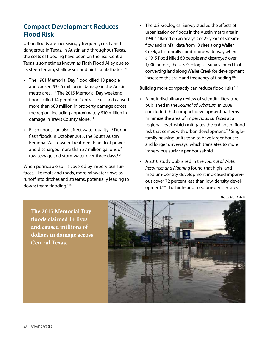### **Compact Development Reduces Flood Risk**

Urban floods are increasingly frequent, costly and dangerous in Texas. In Austin and throughout Texas, the costs of flooding have been on the rise. Central Texas is sometimes known as Flash Flood Alley due to its steep terrain, shallow soil and high rainfall rates.<sup>109</sup>

- • The 1981 Memorial Day Flood killed 13 people and caused \$35.5 million in damage in the Austin metro area. 110 The 2015 Memorial Day weekend floods killed 14 people in Central Texas and caused more than \$80 million in property damage across the region, including approximately \$10 million in damage in Travis County alone.111
- Flash floods can also affect water quality.<sup>112</sup> During flash floods in October 2013, the South Austin Regional Wastewater Treatment Plant lost power and discharged more than 37 million gallons of raw sewage and stormwater over three days.<sup>113</sup>

When permeable soil is covered by impervious surfaces, like roofs and roads, more rainwater flows as runoff into ditches and streams, potentially leading to downstream flooding.<sup>114</sup>

• The U.S. Geological Survey studied the effects of urbanization on floods in the Austin metro area in 1986.115 Based on an analysis of 25 years of streamflow and rainfall data from 13 sites along Waller Creek, a historically flood-prone waterway where a 1915 flood killed 60 people and destroyed over 1,000 homes, the U.S. Geological Survey found that converting land along Waller Creek for development increased the scale and frequency of flooding.<sup>116</sup>

Building more compactly can reduce flood risks.<sup>117</sup>

- • A multidisciplinary review of scientific literature published in the *Journal of Urbanism* in 2008 concluded that compact development patterns minimize the area of impervious surfaces at a regional level, which mitigates the enhanced flood risk that comes with urban development.<sup>118</sup> Singlefamily housing units tend to have larger houses and longer driveways, which translates to more impervious surface per household.
- A 2010 study published in the *Journal of Water Resources and Planning* found that high- and medium-density development increased impervious cover 72 percent less than low-density development.119 The high- and medium-density sites

Photo: Brian Zabcik

**The 2015 Memorial Day floods claimed 14 lives and caused millions of dollars in damage across Central Texas.** 

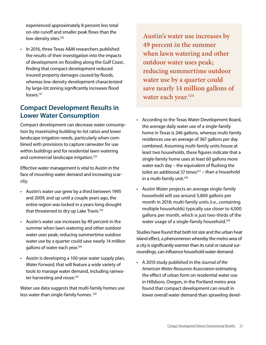experienced approximately 8 percent less total on-site runoff and smaller peak flows than the low-density sites.<sup>120</sup>

• In 2016, three Texas A&M researchers published the results of their investigation into the impacts of development on flooding along the Gulf Coast, finding that compact development reduced insured property damages caused by floods, whereas low-density development characterized by large-lot zoning significantly increases flood losses.121

#### **Compact Development Results in Lower Water Consumption**

Compact development can decrease water consumption by maximizing building-to-lot ratios and lower landscape irrigation needs, particularly when combined with provisions to capture rainwater for use within buildings and for residential lawn watering and commercial landscape irrigation.<sup>122</sup>

Effective water management is vital to Austin in the face of mounting water demand and increasing scarcity.

- • Austin's water use grew by a third between 1995 and 2009, and up until a couple years ago, the entire region was locked in a years-long drought that threatened to dry up Lake Travis.<sup>123</sup>
- • Austin's water use increases by 49 percent in the summer when lawn watering and other outdoor water uses peak; reducing summertime outdoor water use by a quarter could save nearly 14 million gallons of water each year.124
- Austin is developing a 100-year water supply plan, *Water Forward,* that will feature a wide variety of tools to manage water demand, including rainwater harvesting and reuse.<sup>125</sup>

Water use data suggests that multi-family homes use less water than single-family homes.<sup>126</sup>

**Austin's water use increases by 49 percent in the summer when lawn watering and other outdoor water uses peak; reducing summertime outdoor water use by a quarter could save nearly 14 million gallons of water each year.124**

- • According to the Texas Water Development Board, the average daily water use of a single-family home in Texas is 246 gallons, whereas multi-family residences use an average of 367 gallons per day combined. Assuming multi-family units house at least two households, these figures indicate that a single-family home uses at least 60 gallons more water each day – the equivalent of flushing the toilet an additional 37 times $127 -$ than a household in a multi-family unit. $128$
- • Austin Water projects an average single-family household will use around 5,800 gallons per month in 2018; multi-family units (i.e., containing multiple households) typically use closer to 4,000 gallons per month, which is just two-thirds of the water usage of a single-family household.<sup>129</sup>

Studies have found that both lot size and the urban heat island effect, a phenomenon whereby the metro area of a city is significantly warmer than its rural or natural surroundings, can influence household water demand.

• A 2010 study published in the *Journal of the American Water Resources Association* estimating the effect of urban form on residential water use in Hillsboro, Oregon, in the Portland metro area found that compact development can result in lower overall water demand than sprawling devel-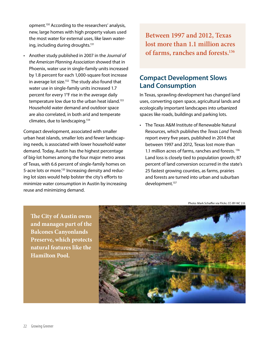opment.130 According to the researchers' analysis, new, large homes with high property values used the most water for external uses, like lawn watering, including during droughts.<sup>131</sup>

Another study published in 2007 in the *Journal of the American Planning Association* showed that in Phoenix, water use in single-family units increased by 1.8 percent for each 1,000-square foot increase in average lot size.<sup>132</sup> The study also found that water use in single-family units increased 1.7 percent for every 1°F rise in the average daily temperature low due to the urban heat island.<sup>133</sup> Household water demand and outdoor space are also correlated, in both arid and temperate climates, due to landscaping.134

Compact development, associated with smaller urban heat islands, smaller lots and fewer landscaping needs, is associated with lower household water demand. Today, Austin has the highest percentage of big-lot homes among the four major metro areas of Texas, with 6.6 percent of single-family homes on 5-acre lots or more.<sup>135</sup> Increasing density and reducing lot sizes would help bolster the city's efforts to minimize water consumption in Austin by increasing reuse and minimizing demand.

**Between 1997 and 2012, Texas lost more than 1.1 million acres of farms, ranches and forests.136**

#### **Compact Development Slows Land Consumption**

In Texas, sprawling development has changed land uses, converting open space, agricultural lands and ecologically important landscapes into urbanized spaces like roads, buildings and parking lots.

• The Texas A&M Institute of Renewable Natural Resources, which publishes the *Texas Land Trends*  report every five years, published in 2014 that between 1997 and 2012, Texas lost more than 1.1 million acres of farms, ranches and forests.<sup>136</sup> Land loss is closely tied to population growth; 87 percent of land conversion occurred in the state's 25 fastest growing counties, as farms, prairies and forests are turned into urban and suburban development.137

Photo: Mark Schaffer via Flickr, CC-BY-NC 2.0.

**The City of Austin owns and manages part of the Balcones Canyonlands Preserve, which protects natural features like the Hamilton Pool.** 

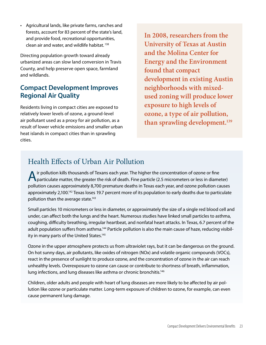• Agricultural lands, like private farms, ranches and forests, account for 83 percent of the state's land, and provide food, recreational opportunities, clean air and water, and wildlife habitat. 138

Directing population growth toward already urbanized areas can slow land conversion in Travis County, and help preserve open space, farmland and wildlands.

### **Compact Development Improves Regional Air Quality**

Residents living in compact cities are exposed to relatively lower levels of ozone, a ground-level air pollutant used as a proxy for air pollution, as a result of lower vehicle emissions and smaller urban heat islands in compact cities than in sprawling cities.

**In 2008, researchers from the University of Texas at Austin and the Molina Center for Energy and the Environment found that compact development in existing Austin neighborhoods with mixedused zoning will produce lower exposure to high levels of ozone, a type of air pollution, than sprawling development.139** 

### Health Effects of Urban Air Pollution

A ir pollution kills thousands of Texans each year. The higher the concentration of ozone or fine<br>
particulate matter, the greater the risk of death. Fine particle (2.5 micrometers or less in diameter) pollution causes approximately 8,700 premature deaths in Texas each year, and ozone pollution causes approximately 2,100.142 Texas loses 19.7 percent more of its population to early deaths due to particulate pollution than the average state.<sup>143</sup>

Small particles 10 micrometers or less in diameter, or approximately the size of a single red blood cell and under, can affect both the lungs and the heart. Numerous studies have linked small particles to asthma, coughing, difficulty breathing, irregular heartbeat, and nonfatal heart attacks. In Texas, 6.7 percent of the adult population suffers from asthma.<sup>144</sup> Particle pollution is also the main cause of haze, reducing visibility in many parts of the United States.<sup>145</sup>

Ozone in the upper atmosphere protects us from ultraviolet rays, but it can be dangerous on the ground. On hot sunny days, air pollutants, like oxides of nitrogen (NOx) and volatile organic compounds (VOCs), react in the presence of sunlight to produce ozone, and the concentration of ozone in the air can reach unhealthy levels. Overexposure to ozone can cause or contribute to shortness of breath, inflammation, lung infections, and lung diseases like asthma or chronic bronchitis.<sup>146</sup>

Children, older adults and people with heart of lung diseases are more likely to be affected by air pollution like ozone or particulate matter. Long-term exposure of children to ozone, for example, can even cause permanent lung damage.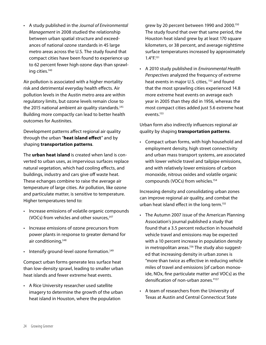• A study published in the *Journal of Environmental Management* in 2008 studied the relationship between urban spatial structure and exceedances of national ozone standards in 45 large metro areas across the U.S. The study found that compact cities have been found to experience up to 62 percent fewer high ozone days than sprawling cities.140

Air pollution is associated with a higher mortality risk and detrimental everyday health effects. Air pollution levels in the Austin metro area are within regulatory limits, but ozone levels remain close to the 2015 national ambient air quality standards.<sup>141</sup> Building more compactly can lead to better health outcomes for Austinites.

Development patterns affect regional air quality through the urban "**heat island effect**" and by shaping **transportation patterns**.

The **urban heat island** is created when land is converted to urban uses, as impervious surfaces replace natural vegetation, which had cooling effects, and buildings, industry and cars give off waste heat. These echanges combine to raise the average air temperature of large cities. Air pollution, like ozone and particulate matter, is sensitive to temperature. Higher temperatures tend to:

- • Increase emissions of volatile organic compounds (VOCs) from vehicles and other sources,<sup>147</sup>
- • Increase emissions of ozone precursors from power plants in response to greater demand for air conditioning, 148
- Intensify ground-level ozone formation.<sup>149</sup>

Compact urban forms generate less surface heat than low-density sprawl, leading to smaller urban heat islands and fewer extreme heat events.

• A Rice University researcher used satellite imagery to determine the growth of the urban heat island in Houston, where the population

grew by 20 percent between 1990 and 2000.150 The study found that over that same period, the Houston heat island grew by at least 170 square kilometers, or 38 percent, and average nighttime surface temperatures increased by approximately 1.4°F.151

• A 2010 study published in *Environmental Health Perspectives* analyzed the frequency of extreme heat events in major U.S. cities, <sup>152</sup> and found that the most sprawling cities experienced 14.8 more extreme heat events on average each year in 2005 than they did in 1956, whereas the most compact cities added just 5.6 extreme heat events.153

Urban form also indirectly influences regional air quality by shaping **transportation patterns**.

• Compact urban forms, with high household and employment density, high street connectivity and urban mass transport systems, are associated with lower vehicle travel and tailpipe emissions, and with relatively lower emissions of carbon monoxide, nitrous oxides and volatile organic compounds (VOCs) from vehicles.154

Increasing density and consolidating urban zones can improve regional air quality, and combat the urban heat island effect in the long term.155

- • The Autumn 2007 issue of the American Planning Association's journal published a study that found that a 3.5 percent reduction in household vehicle travel and emissions may be expected with a 10 percent increase in population density in metropolitan areas.<sup>156</sup> The study also suggested that increasing density in urban zones is "more than twice as effective in reducing vehicle miles of travel and emissions [of carbon monoxide, NOx, fine particulate matter and VOCs] as the densification of non-urban zones."157
- • A team of researchers from the University of Texas at Austin and Central Connecticut State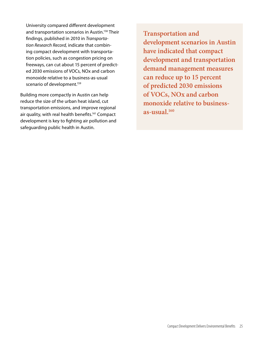University compared different development and transportation scenarios in Austin.158 Their findings, published in 2010 in *Transportation Research Record,* indicate that combining compact development with transportation policies, such as congestion pricing on freeways, can cut about 15 percent of predicted 2030 emissions of VOCs, NOx and carbon monoxide relative to a business-as-usual scenario of development.<sup>159</sup>

Building more compactly in Austin can help reduce the size of the urban heat island, cut transportation emissions, and improve regional air quality, with real health benefits.<sup>161</sup> Compact development is key to fighting air pollution and safeguarding public health in Austin.

**Transportation and development scenarios in Austin have indicated that compact development and transportation demand management measures can reduce up to 15 percent of predicted 2030 emissions of VOCs, NOx and carbon monoxide relative to businessas-usual.160**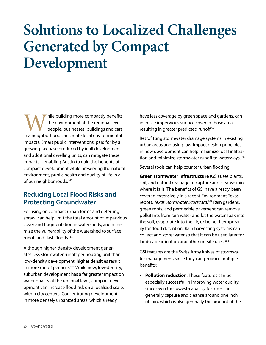# **Solutions to Localized Challenges Generated by Compact Development**

Thile building more compactly benefits<br>the environment at the regional level,<br>people, businesses, buildings and cars<br>in a neighborhood can create local environmental the environment at the regional level, people, businesses, buildings and cars impacts. Smart public interventions, paid for by a growing tax base produced by infill development and additional dwelling units, can mitigate these impacts – enabling Austin to gain the benefits of compact development while preserving the natural environment, public health and quality of life in all of our neighborhoods.<sup>162</sup>

#### **Reducing Local Flood Risks and Protecting Groundwater**

Focusing on compact urban forms and deterring sprawl can help limit the total amount of impervious cover and fragmentation in watersheds, and minimize the vulnerability of the watershed to surface runoff and flash floods.<sup>163</sup>

Although higher-density development generates less stormwater runoff per housing unit than low-density development, higher densities result in more runoff per acre.<sup>164</sup> While new, low-density, suburban development has a far greater impact on water quality at the regional level, compact development can increase flood risk on a localized scale, within city centers. Concentrating development in more densely urbanized areas, which already

have less coverage by green space and gardens, can increase impervious surface cover in those areas, resulting in greater predicted runoff.165

Retrofitting stormwater drainage systems in existing urban areas and using low-impact design principles in new development can help maximize local infiltration and minimize stormwater runoff to waterways.<sup>166</sup>

Several tools can help counter urban flooding:

**Green stormwater infrastructure** (GSI) uses plants, soil, and natural drainage to capture and cleanse rain where it falls. The benefits of GSI have already been covered extensively in a recent Environment Texas report, *Texas Stormwater Scorecard*. <sup>167</sup> Rain gardens, green roofs, and permeable pavement can remove pollutants from rain water and let the water soak into the soil, evaporate into the air, or be held temporarily for flood detention. Rain harvesting systems can collect and store water so that it can be used later for landscape irrigation and other on-site uses.<sup>168</sup>

GSI features are the Swiss Army knives of stormwater management, since they can produce multiple benefits:

**• Pollution reduction**: These features can be especially successful in improving water quality, since even the lowest-capacity features can generally capture and cleanse around one inch of rain, which is also generally the amount of the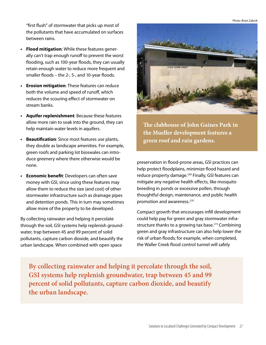Photo: Brian Zabcik

"first flush" of stormwater that picks up most of the pollutants that have accumulated on surfaces between rains.

- **• Flood mitigation**: While these features generally can't trap enough runoff to prevent the worst flooding, such as 100-year floods, they can usually retain enough water to reduce more frequent and smaller floods – the 2-, 5-, and 10-year floods.
- **• Erosion mitigation**: These features can reduce both the volume and speed of runoff, which reduces the scouring effect of stormwater on stream banks.
- **• Aquifer replenishment**: Because these features allow more rain to soak into the ground, they can help maintain water levels in aquifers.
- **Beautification:** Since most features use plants, they double as landscape amenities. For example, green roofs and parking lot bioswales can introduce greenery where there otherwise would be none.
- **• Economic benefit**: Developers can often save money with GSI, since using these features may allow them to reduce the size (and cost) of other stormwater infrastructure such as drainage pipes and detention ponds. This in turn may sometimes allow more of the property to be developed.

By collecting rainwater and helping it percolate through the soil, GSI systems help replenish groundwater, trap between 45 and 99 percent of solid pollutants, capture carbon dioxide, and beautify the urban landscape. When combined with open space



**The clubhouse of John Gaines Park in the Mueller development features a green roof and rain gardens.**

preservation in flood-prone areas, GSI practices can help protect floodplains, minimize flood hazard and reduce property damage.<sup>169</sup> Finally, GSI features can mitigate any negative health effects, like mosquito breeding in ponds or excessive pollen, through thoughtful design, maintenance, and public health promotion and awareness.<sup>170</sup>

Compact growth that encourages infill development could help pay for green and gray stormwater infrastructure thanks to a growing tax base.<sup>171</sup> Combining green and gray infrastructure can also help lower the risk of urban floods; for example, when completed, the Waller Creek flood control tunnel will safely

**By collecting rainwater and helping it percolate through the soil, GSI systems help replenish groundwater, trap between 45 and 99 percent of solid pollutants, capture carbon dioxide, and beautify the urban landscape.**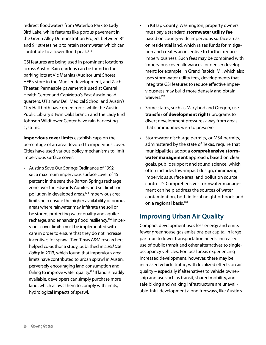redirect floodwaters from Waterloo Park to Lady Bird Lake, while features like porous pavement in the Green Alley Demonstration Project between 8<sup>th</sup> and 9<sup>th</sup> streets help to retain stormwater, which can contribute to a lower flood peak.<sup>172</sup>

GSI features are being used in prominent locations across Austin. Rain gardens can be found in the parking lots at Vic Mathias (Auditorium) Shores, HEB's store in the Mueller development, and Zach Theater. Permeable pavement is used at Central Health Center and CapMetro's East Austin headquarters. UT's new Dell Medical School and Austin's City Hall both have green roofs, while the Austin Public Library's Twin Oaks branch and the Lady Bird Johnson Wildflower Center have rain harvesting systems.

**Impervious cover limits** establish caps on the percentage of an area devoted to impervious cover. Cities have used various policy mechanisms to limit impervious surface cover.

• Austin's Save Our Springs Ordinance of 1992 set a maximum impervious surface cover of 15 percent in the sensitive Barton Springs recharge zone over the Edwards Aquifer, and set limits on pollution in developed areas.<sup>173</sup> Impervious area limits help ensure the higher availability of porous areas where rainwater may infiltrate the soil or be stored, protecting water quality and aquifer recharge, and enhancing flood resiliency.174 Impervious cover limits must be implemented with care in order to ensure that they do not increase incentives for sprawl. Two Texas A&M researchers helped co-author a study, published in *Land Use Policy* in 2013, which found that impervious area limits have contributed to urban sprawl in Austin, perversely encouraging land consumption and failing to improve water quality.<sup>175</sup> If land is readily available, developers can simply purchase more land, which allows them to comply with limits, hydrological impacts of sprawl.

- In Kitsap County, Washington, property owners must pay a standard **stormwater utility fee** based on county-wide impervious surface areas on residential land, which raises funds for mitigation and creates an incentive to further reduce imperviousness. Such fees may be combined with impervious cover allowances for denser development; for example, in Grand Rapids, MI, which also uses stormwater utility fees, developments that integrate GSI features to reduce effective imperviousness may build more densely and obtain waivers.<sup>176</sup>
- • Some states, such as Maryland and Oregon, use **transfer of development rights** programs to divert development pressures away from areas that communities wish to preserve.
- Stormwater discharge permits, or MS4 permits, administered by the state of Texas, require that municipalities adopt a **comprehensive stormwater management** approach, based on clear goals, public support and sound science, which often includes low-impact design, minimizing impervious surface area, and pollution source control.177 Comprehensive stormwater management can help address the sources of water contamination, both in local neighborhoods and on a regional basis.<sup>178</sup>

#### **Improving Urban Air Quality**

Compact development uses less energy and emits fewer greenhouse gas emissions per capita, in large part due to lower transportation needs, increased use of public transit and other alternatives to singleoccupancy vehicles. For local areas experiencing increased development, however, there may be increased vehicle traffic, with localized effects on air quality – especially if alternatives to vehicle ownership and use such as transit, shared mobility, and safe biking and walking infrastructure are unavailable. Infill development along freeways, like Austin's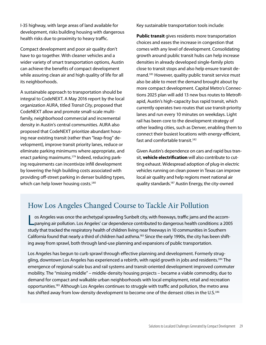I-35 highway, with large areas of land available for development, risks building housing with dangerous health risks due to proximity to heavy traffic.

Compact development and poor air quality don't have to go together. With cleaner vehicles and a wider variety of smart transportation options, Austin can achieve the benefits of compact development while assuring clean air and high quality of life for all its neighborhoods.

A sustainable approach to transportation should be integral to CodeNEXT. A May 2016 report by the local organization AURA, titled *Transit City*, proposed that CodeNEXT allow and promote small-scale multifamily, neighborhood commercial and incremental density in Austin's central communities. AURA also proposed that CodeNEXT prioritize abundant housing near existing transit (rather than "leap-frog" development), improve transit priority lanes, reduce or eliminate parking minimums where appropriate, and enact parking maximums.179 Indeed, reducing parking requirements can incentivize infill development by lowering the high building costs associated with providing off-street parking in denser building types, which can help lower housing costs.<sup>180</sup>

Key sustainable transportation tools include:

**Public transit** gives residents more transportation choices and eases the increase in congestion that comes with any level of development. Consolidating growth around public transit hubs can help increase densities in already developed single-family plots close to transit stops and also help ensure transit demand.<sup>181</sup> However, quality public transit service must also be able to meet the demand brought about by more compact development. Capital Metro's Connections 2025 plan will add 13 new bus routes to MetroRapid, Austin's high-capacity bus rapid transit, which currently operates two routes that use transit-priority lanes and run every 10 minutes on weekdays. Light rail has been core to the development strategy of other leading cities, such as Denver, enabling them to connect their busiest locations with energy-efficient, fast and comfortable transit.<sup>182</sup>

Given Austin's dependence on cars and rapid bus transit, **vehicle electrification** will also contribute to cutting exhaust. Widespread adoption of plug-in electric vehicles running on clean power in Texas can improve local air quality and help regions meet national air quality standards.187 Austin Energy, the city-owned

### How Los Angeles Changed Course to Tackle Air Pollution

Los Angeles was once the archetypal sprawling Sunbelt city, with freeways, traffic jams and the accom-panying air pollution. Los Angeles' car dependence contributed to dangerous health conditions: a 2005 study that tracked the respiratory health of children living near freeways in 10 communities in Southern California found that nearly a third of children had asthma.183 Since the early 1990s, the city has been shifting away from sprawl, both through land-use planning and expansions of public transportation.

Los Angeles has begun to curb sprawl through effective planning and development. Formerly struggling, downtown Los Angeles has experienced a rebirth, with rapid growth in jobs and residents.<sup>184</sup> The emergence of regional-scale bus and rail systems and transit-oriented development improved commuter mobility. The "missing middle" – middle-density housing projects – became a viable commodity, due to demand for compact and walkable urban neighborhoods with local employment, retail and recreation opportunities.185 Although Los Angeles continues to struggle with traffic and pollution, the metro area has shifted away from low-density development to become one of the densest cities in the U.S.<sup>186</sup>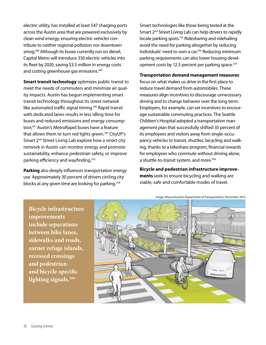electric utility, has installed at least 547 charging ports across the Austin area that are powered exclusively by clean wind energy, ensuring electric vehicles contribute to neither regional pollution nor downtown smog.188 Although its buses currently run on diesel, Capital Metro will introduce 330 electric vehicles into its fleet by 2020, saving \$3.5 million in energy costs and cutting greenhouse gas emissions.<sup>189</sup>

**Smart transit technology** optimizes public transit to meet the needs of commuters and minimize air quality impacts. Austin has begun implementing smart transit technology throughout its street network like automated traffic signal timing.<sup>190</sup> Rapid transit with dedicated lanes results in less idling time for buses and reduced emissions and energy consumption;<sup>191</sup> Austin's MetroRapid buses have a feature that allows them to turn red lights green.<sup>192</sup> CityUP's Smart 2<sup>nd</sup> Street Living Lab explore how a smart city network in Austin can monitor energy and promote sustainability, enhance pedestrian safety, or improve parking efficiency and wayfinding.193

**Parking** also deeply influences transportation energy use. Approximately 30 percent of drivers circling city blocks at any given time are looking for parking.<sup>194</sup>

Smart technologies like those being tested at the Smart 2<sup>nd</sup> Street Living Lab can help drivers to rapidly locate parking spots.<sup>195</sup> Ridesharing and ridehailing avoid the need for parking altogether by reducing individuals' need to own a car.196 Reducing minimum parking requirements can also lower housing development costs by 12.5 percent per parking space.<sup>197</sup>

#### **Transportation demand management measures**

focus on what makes us drive in the first place to reduce travel demand from automobiles. These measures align incentives to discourage unnecessary driving and to change behavior over the long-term. Employers, for example, can set incentives to encourage sustainable commuting practices. The Seattle Children's Hospital adopted a transportation management plan that successfully shifted 35 percent of its employees and visitors away from single-occupancy vehicles to transit, shuttles, bicycling and walking, thanks to a bikeshare program, financial rewards for employees who commute without driving alone, a shuttle-to-transit system, and more.<sup>198</sup>

**Bicycle and pedestrian infrastructure improvements** seek to ensure bicycling and walking are viable, safe and comfortable modes of travel.

Image: Massachusetts Department of Transportation, November 2015

**Bicycle infrastructure improvements include separations between bike lanes, sidewalks and roads, corner refuge islands, recessed crossings and pedestrianand bicycle-specific lighting signals.200**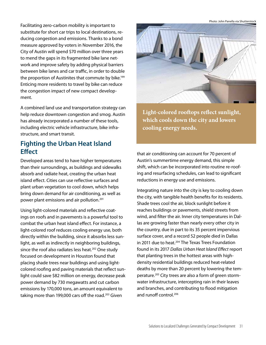Photo: John Panella via Shutterstock

Facilitating zero-carbon mobility is important to substitute for short car trips to local destinations, reducing congestion and emissions. Thanks to a bond measure approved by voters in November 2016, the City of Austin will spend \$70 million over three years to mend the gaps in its fragmented bike lane network and improve safety by adding physical barriers between bike lanes and car traffic, in order to double the proportion of Austinites that commute by bike.<sup>199</sup> Enticing more residents to travel by bike can reduce the congestion impact of new compact development.

A combined land use and transportation strategy can help reduce downtown congestion and smog. Austin has already incorporated a number of these tools, including electric vehicle infrastructure, bike infrastructure, and smart transit.

### **Fighting the Urban Heat Island Effect**

Developed areas tend to have higher temperatures than their surroundings, as buildings and sidewalks absorb and radiate heat, creating the urban heat island effect. Cities can use reflective surfaces and plant urban vegetation to cool down, which helps bring down demand for air conditioning, as well as power plant emissions and air pollution.201

Using light-colored materials and reflective coatings on roofs and in pavements is a powerful tool to combat the urban heat island effect. For instance, a light-colored roof reduces cooling energy use, both directly within the building, since it absorbs less sunlight, as well as indirectly in neighboring buildings, since the roof also radiates less heat.<sup>202</sup> One study focused on development in Houston found that placing shade trees near buildings and using lightcolored roofing and paving materials that reflect sunlight could save \$82 million on energy, decrease peak power demand by 730 megawatts and cut carbon emissions by 170,000 tons, an amount equivalent to taking more than 199,000 cars off the road.<sup>203</sup> Given



**Light-colored rooftops reflect sunlight, which cools down the city and lowers cooling energy needs.** 

that air conditioning can account for 70 percent of Austin's summertime energy demand, this simple shift, which can be incorporated into routine re-roofing and resurfacing schedules, can lead to significant reductions in energy use and emissions.

Integrating nature into the city is key to cooling down the city, with tangible health benefits for its residents. Shade trees cool the air, block sunlight before it reaches buildings or pavements, shield streets from wind, and filter the air. Inner city temperatures in Dallas are growing faster than nearly every other city in the country, due in part to its 35 percent impervious surface cover, and a record 52 people died in Dallas in 2011 due to heat.<sup>204</sup> The Texas Trees Foundation found in its 2017 *Dallas Urban Heat Island Effect* report that planting trees in the hottest areas with highdensity residential buildings reduced heat-related deaths by more than 20 percent by lowering the temperature.205 City trees are also a form of green stormwater infrastructure, intercepting rain in their leaves and branches, and contributing to flood mitigation and runoff control.206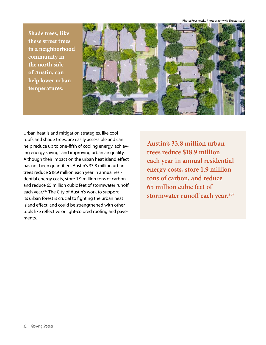Photo: Roschetzky Photography via Shutterstock

**Shade trees, like these street trees in a neighborhood community in the north side of Austin, can help lower urban temperatures.** 



Urban heat island mitigation strategies, like cool roofs and shade trees, are easily accessible and can help reduce up to one-fifth of cooling energy, achieving energy savings and improving urban air quality. Although their impact on the urban heat island effect has not been quantified, Austin's 33.8 million urban trees reduce \$18.9 million each year in annual residential energy costs, store 1.9 million tons of carbon, and reduce 65 million cubic feet of stormwater runoff each year.<sup>207</sup> The City of Austin's work to support its urban forest is crucial to fighting the urban heat island effect, and could be strengthened with other tools like reflective or light-colored roofing and pavements.

**Austin's 33.8 million urban trees reduce \$18.9 million each year in annual residential energy costs, store 1.9 million tons of carbon, and reduce 65 million cubic feet of stormwater runoff each year.207**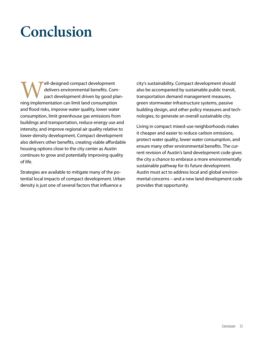# **Conclusion**

**Well-designed compact development**<br>delivers environmental benefits. Con<br>pact development driven by good p<br>ning implementation can limit land consumption delivers environmental benefits. Compact development driven by good planning implementation can limit land consumption and flood risks, improve water quality, lower water consumption, limit greenhouse gas emissions from buildings and transportation, reduce energy use and intensity, and improve regional air quality relative to lower-density development. Compact development also delivers other benefits, creating viable affordable housing options close to the city center as Austin continues to grow and potentially improving quality of life.

Strategies are available to mitigate many of the potential local impacts of compact development. Urban density is just one of several factors that influence a

city's sustainability. Compact development should also be accompanied by sustainable public transit, transportation demand management measures, green stormwater infrastructure systems, passive building design, and other policy measures and technologies, to generate an overall sustainable city.

Living in compact mixed-use neighborhoods makes it cheaper and easier to reduce carbon emissions, protect water quality, lower water consumption, and ensure many other environmental benefits. The current revision of Austin's land development code gives the city a chance to embrace a more environmentally sustainable pathway for its future development. Austin must act to address local and global environmental concerns – and a new land development code provides that opportunity.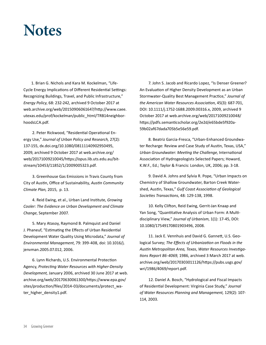## **Notes**

1. Brian G. Nichols and Kara M. Kockelman, "Life-Cycle Energy Implications of Different Residential Settings: Recognizing Buildings, Travel, and Public Infrastructure," *Energy Policy*, 68: 232-242, archived 9 October 2017 at [web.archive.org/web/20150906061647/http://www.caee.](HTTPS://web.archive.org/web/20150906061647/http://www.caee.utexas.edu/prof/kockelman/public_html/TRB14neighborhoodsLCA.pdf) [utexas.edu/prof/kockelman/public\\_html/TRB14neighbor](HTTPS://web.archive.org/web/20150906061647/http://www.caee.utexas.edu/prof/kockelman/public_html/TRB14neighborhoodsLCA.pdf)[hoodsLCA.pdf.](HTTPS://web.archive.org/web/20150906061647/http://www.caee.utexas.edu/prof/kockelman/public_html/TRB14neighborhoodsLCA.pdf)

 2. Peter Rickwood, "Residential Operational Energy Use," *Journal of Urban Policy and Research,* 27(2): 137-155, [dx.doi.org/10.1080/08111140902950495,](http://dx.doi.org/10.1080/08111140902950495) 2009, archived 9 October 2017 at [web.archive.org/](https://web.archive.org/web/20171009210045/https://opus.lib.uts.edu.au/bitstream/10453/11852/1/2009005323.pdf) [web/20171009210045/https://opus.lib.uts.edu.au/bit](https://web.archive.org/web/20171009210045/https://opus.lib.uts.edu.au/bitstream/10453/11852/1/2009005323.pdf)[stream/10453/11852/1/2009005323.pdf](https://web.archive.org/web/20171009210045/https://opus.lib.uts.edu.au/bitstream/10453/11852/1/2009005323.pdf).

 3. Greenhouse Gas Emissions in Travis County from City of Austin, Office of Sustainability, *Austin Community Climate Plan,* 2015, p. 13.

 4. Reid Ewing, et al., Urban Land Institute, *Growing Cooler: The Evidence on Urban Development and Climate Change*, September 2007.

 5. Mary Atasoy, Raymond B. Palmquist and Daniel J. Phaneuf, "Estimating the Effects of Urban Residential Development Water Quality Using Microdata," *Journal of Environmental Management*, 79: 399-408, doi: [10.1016/j.](10.1016/j.jenvman) [jenvman](10.1016/j.jenvman).2005.07.012, 2006.

 6. Lynn Richards, U.S. Environmental Protection Agency, *Protecting Water Resources with Higher-Density Development,* January 2006, archived 30 June 2017 at [web.](https://web.archive.org/web/20170630061300/https://www.epa.gov/sites/production/files/2014-03/documents/protect_water_higher_density1.pdf) [archive.org/web/20170630061300/https://www.epa.gov/](https://web.archive.org/web/20170630061300/https://www.epa.gov/sites/production/files/2014-03/documents/protect_water_higher_density1.pdf) [sites/production/files/2014-03/documents/protect\\_wa](https://web.archive.org/web/20170630061300/https://www.epa.gov/sites/production/files/2014-03/documents/protect_water_higher_density1.pdf)[ter\\_higher\\_density1.pdf](https://web.archive.org/web/20170630061300/https://www.epa.gov/sites/production/files/2014-03/documents/protect_water_higher_density1.pdf).

 7. John S. Jacob and Ricardo Lopez, "Is Denser Greener? An Evaluation of Higher Density Development as an Urban Stormwater-Quality Best Management Practice," *Journal of the American Water Resources Association*, 45(3): 687-701, DOI: 10.1111/j.1752-1688.2009.00316.x, 2009, archived 9 October 2017 at [web.archive.org/web/20171009210048/](https://web.archive.org/web/20171009210048/https://pdfs.semanticscholar.org/2e2d/e65bde5f920a59b02af67dada705b5e56e59.pdf) [https://pdfs.semanticscholar.org/2e2d/e65bde5f920a](https://web.archive.org/web/20171009210048/https://pdfs.semanticscholar.org/2e2d/e65bde5f920a59b02af67dada705b5e56e59.pdf)-[59b02af67dada705b5e56e59.pdf.](https://web.archive.org/web/20171009210048/https://pdfs.semanticscholar.org/2e2d/e65bde5f920a59b02af67dada705b5e56e59.pdf)

 8. Beatriz Garcia-Fresca, "Urban-Enhanced Groundwater Recharge: Review and Case Study of Austin, Texas, USA," *Urban Groundwater: Meeting the Challenge*, International Association of Hydrogeologists Selected Papers; Howard, K.W.F., Ed.; Taylor & Francis: London, UK, 2006; pp. 3-18.

 9. David A. Johns and Sylvia R. Pope, "Urban Impacts on Chemistry of Shallow Groundwater, Barton Creek Watershed, Austin, Texas," *Gulf Coast Association of Geological Societies Transactions*, 48: 129-138, 1998.

 10. Kelly Clifton, Reid Ewing, Gerrit-Jan Knaap and Yan Song, "Quantitative Analysis of Urban Form: A Multidisciplinary View," *Journal of Urbanism*, 1(1): 17-45, DOI: 10.1080/17549170801903496, 2008.

 11. Jack E. Vennhuis and David G. Gannett, U.S. Geological Survey; *The Effects of Urbanization on Floods in the Austin Metropolitan Area, Texas*, *Water Resources Investigations Report 86-4069,* 1986, archived 3 March 2017 at [web.](https://web.archive.org/web/20170303011126/https://pubs.usgs.gov/wri/1986/4069/report.pdf) [archive.org/web/20170303011126/https://pubs.usgs.gov/](https://web.archive.org/web/20170303011126/https://pubs.usgs.gov/wri/1986/4069/report.pdf) [wri/1986/4069/report.pdf](https://web.archive.org/web/20170303011126/https://pubs.usgs.gov/wri/1986/4069/report.pdf).

 12. Daniel A. Bosch, "Hydrological and Fiscal Impacts of Residential Development: Virginia Case Study," *Journal of Water Resources Planning and Management,* 129(2): 107- 114, 2003.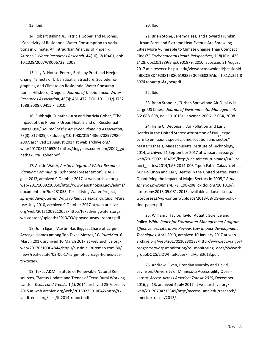#### 13. Ibid.

 14. Robert Balling Jr., Patricia Gober, and N. Jones, "Sensitivity of Residential Water Consumption to Variations in Climate: An Intraurban Analysis of Phoenix, Arizona," *Water Resources Research,* 44(10), W10401, doi: 10.1029/2007WR006722, 2008.

 15. Lily A. House-Peters, Bethany Pratt and Heejun Chang, "Effects of Urban Spatial Structure, Sociodemographics, and Climate on Residential Water Consumption in Hillsboro, Oregon," *Journal of the American Water Resources Association*, 46(3): 461-472, DOI: 10.1111/j.1752- 1688.2009.00415.x, 2010.

 16. Subhrajit Guhathakurta and Patricia Gober, "The Impact of the Phoenix Urban Heat Island on Residential Water Use," *Journal of the American Planning Association,* 73(3): 317-329, [dx.doi.org/10.1080/01944360708977980,](http://dx.doi.org/10.1080/01944360708977980) 2007, archived 11 August 2017 at [web.archive.org/](https://web.archive.org/web/20170811165201/http://dogyears.com/edm/2007_guhathakurta_gober.pdf) [web/20170811165201/http://dogyears.com/edm/2007\\_gu](https://web.archive.org/web/20170811165201/http://dogyears.com/edm/2007_guhathakurta_gober.pdf)[hathakurta\\_gober.pdf](https://web.archive.org/web/20170811165201/http://dogyears.com/edm/2007_guhathakurta_gober.pdf).

 17. Austin Water, *Austin Integrated Water Resource Planning Community Task Force* (presentation), 1 August 2017, archived 9 October 2017 at [web.archive.org/](https://web.archive.org/web/20171009210050/http://www.austintexas.gov/edims/document.cfm?id=281055) [web/20171009210050/http://www.austintexas.gov/edims/](https://web.archive.org/web/20171009210050/http://www.austintexas.gov/edims/document.cfm?id=281055) [document.cfm?id=281055](https://web.archive.org/web/20171009210050/http://www.austintexas.gov/edims/document.cfm?id=281055); Texas Living Water Project, *Sprayed Away: Seven Ways to Reduce Texas' Outdoor Water Use,* July 2010, archived 9 October 2017 at [web.archive.](https://web.archive.org/web/20171009210053/http://texaslivingwaters.org/wp-content/uploads/2013/03/sprayed-away_report.pdf) [org/web/20171009210053/http://texaslivingwaters.org/](https://web.archive.org/web/20171009210053/http://texaslivingwaters.org/wp-content/uploads/2013/03/sprayed-away_report.pdf) [wp-content/uploads/2013/03/sprayed-away\\_report.pdf.](https://web.archive.org/web/20171009210053/http://texaslivingwaters.org/wp-content/uploads/2013/03/sprayed-away_report.pdf)

 18. John Egan, "Austin Has Biggest Share of Large-Acreage Homes among Top Texas Metros," *CultureMap,* 6 March 2017, archived 10 March 2017 at [web.archive.org/](https://web.archive.org/web/20170310004844/http://austin.culturemap.com:80/news/real-estate/03-06-17-large-lot-acreage-homes-austin-texas/) [web/20170310004844/http://austin.culturemap.com:80/](https://web.archive.org/web/20170310004844/http://austin.culturemap.com:80/news/real-estate/03-06-17-large-lot-acreage-homes-austin-texas/) [news/real-estate/03-06-17-large-lot-acreage-homes-aus](https://web.archive.org/web/20170310004844/http://austin.culturemap.com:80/news/real-estate/03-06-17-large-lot-acreage-homes-austin-texas/)[tin-texas/](https://web.archive.org/web/20170310004844/http://austin.culturemap.com:80/news/real-estate/03-06-17-large-lot-acreage-homes-austin-texas/).

 19. Texas A&M Institute of Renewable Natural Resources, "Status Update and Trends of Texas Rural Working Lands," *Texas Land Trends,* 1(1), 2014, archived 25 February 2015 at [web.archive.org/web/20150225010642/http://tx](http://web.archive.org/web/20150225010642/http://txlandtrends.org/files/lt-2014-report.pdf)[landtrends.org/files/lt-2014-report.pdf](http://web.archive.org/web/20150225010642/http://txlandtrends.org/files/lt-2014-report.pdf).

20. Ibid.

 21. Brian Stone, Jeremy Hess, and Howard Frumkin, "Urban Form and Extreme Heat Events: Are Sprawling Cities More Vulnerable to Climate Change Than Compact Cities?," *Environmental Health Perspectives,* 118(10): 1425- 1428, doi:[10.1289/ehp.](10.1289/ehp)0901879, 2010, accessed 31 August 2017 at [citeseerx.ist.psu.edu/viewdoc/download;jsessionid](http://citeseerx.ist.psu.edu/viewdoc/download;jsessionid=BD2CB8D4F2381588061933E30C63E02D?doi=10.1.1.351.8597&rep=rep1&type=pdf) [=BD2CB8D4F2381588061933E30C63E02D?doi=10.1.1.351.8](http://citeseerx.ist.psu.edu/viewdoc/download;jsessionid=BD2CB8D4F2381588061933E30C63E02D?doi=10.1.1.351.8597&rep=rep1&type=pdf) [597&rep=rep1&type=pdf](http://citeseerx.ist.psu.edu/viewdoc/download;jsessionid=BD2CB8D4F2381588061933E30C63E02D?doi=10.1.1.351.8597&rep=rep1&type=pdf).

22. Ibid.

 23. Brian Stone Jr., "Urban Sprawl and Air Quality in Large US Cities," *Journal of Environmental Management,*  86: 688-698, doi: <10.1016/j.jenvman>.2006.12.034, 2008.

 24. Irene C. Dedoussi, "Air Pollution and Early Deaths in the United States: Attribution of PM expo-2.5 sure to emissions species, time, location and sector," Master's thesis, Massachusetts Institute of Technology, 2014, archived 21 September 2017 at [web.archive.org/](https://web.archive.org/web/20150921164725/http://lae.mit.edu/uploads/LAE_report_series/2014/LAE-2014-003-T.pdf) [web/20150921164725/http://lae.mit.edu/uploads/LAE\\_re](https://web.archive.org/web/20150921164725/http://lae.mit.edu/uploads/LAE_report_series/2014/LAE-2014-003-T.pdf)port series/2014/LAE-2014-003-T.pdf; Fabio Caiazzo, et al., "Air Pollution and Early Deaths in the United States. Part I: Quantifying the Impact of Major Sectors in 2005," *Atmospheric Environment*, 79: 198-208, [dx.doi.org/10.1016/j.](http://dx.doi.org/10.1016/j.atmosenv.2013.05.081) [atmosenv.2013.05.081](http://dx.doi.org/10.1016/j.atmosenv.2013.05.081), 2013, available at [lae.mit.edu/](http://lae.mit.edu/wordpress2/wp-content/uploads/2013/08/US-air-pollution-paper.pdf) [wordpress2/wp-content/uploads/2013/08/US-air-pollu](http://lae.mit.edu/wordpress2/wp-content/uploads/2013/08/US-air-pollution-paper.pdf)[tion-paper.pdf](http://lae.mit.edu/wordpress2/wp-content/uploads/2013/08/US-air-pollution-paper.pdf).

 25. William J. Taylor, Taylor Aquatic Science and Policy, *White Paper for Stormwater Management Program Effectiveness Literature Review: Low Impact Development Techniques*, April 2013, archived 10 January 2017 at [web.](https://web.archive.org/web/20170110230133/http://www.ecy.wa.gov/programs/wq/psmonitoring/ps_monitoring_docs/SWworkgroupDOCS/LIDWhitePaperFinalApril2013.pdf) [archive.org/web/20170110230133/http://www.ecy.wa.gov/](https://web.archive.org/web/20170110230133/http://www.ecy.wa.gov/programs/wq/psmonitoring/ps_monitoring_docs/SWworkgroupDOCS/LIDWhitePaperFinalApril2013.pdf) [programs/wq/psmonitoring/ps\\_monitoring\\_docs/SWwork](https://web.archive.org/web/20170110230133/http://www.ecy.wa.gov/programs/wq/psmonitoring/ps_monitoring_docs/SWworkgroupDOCS/LIDWhitePaperFinalApril2013.pdf)[groupDOCS/LIDWhitePaperFinalApril2013.pdf](https://web.archive.org/web/20170110230133/http://www.ecy.wa.gov/programs/wq/psmonitoring/ps_monitoring_docs/SWworkgroupDOCS/LIDWhitePaperFinalApril2013.pdf).

 26. Andrew Owen, Brendan Murphy and David Levinson, University of Minnesota Accessibility Observatory, *Access Across America: Transit 2015*, December 2016, p. 13, archived 4 July 2017 at [web.archive.org/](http://web.archive.org/web/20170704215349/http://access.umn.edu/research/america/transit/2015/) [web/20170704215349/http://access.umn.edu/research/](http://web.archive.org/web/20170704215349/http://access.umn.edu/research/america/transit/2015/) [america/transit/2015/.](http://web.archive.org/web/20170704215349/http://access.umn.edu/research/america/transit/2015/)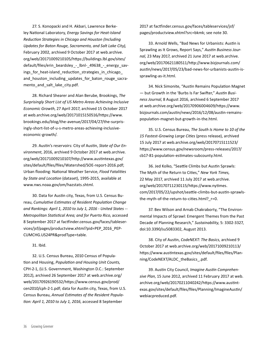27. S. Konopacki and H. Akbari, Lawrence Berkeley National Laboratory, *Energy Savings for Heat-Island Reduction Strategies in Chicago and Houston (Including Updates for Baton Rouge, Sacramento, and Salt Lake City),* February 2002, archived 9 October 2017 at [web.archive.](https://web.archive.org/web/20171009210105/https://buildings.lbl.gov/sites/default/files/erin_beardsley_-_lbnl-_49638_-_energy_savings_for_heat-island_reduction_strategies_in_chicago_and_houston_including_updates_for_baton_rouge_sacramento_and_salt_lake_city.pdf) [org/web/20171009210105/https://buildings.lbl.gov/sites/](https://web.archive.org/web/20171009210105/https://buildings.lbl.gov/sites/default/files/erin_beardsley_-_lbnl-_49638_-_energy_savings_for_heat-island_reduction_strategies_in_chicago_and_houston_including_updates_for_baton_rouge_sacramento_and_salt_lake_city.pdf) default/files/erin\_beardsley - Ibnl- 49638 - energy\_sav[ings\\_for\\_heat-island\\_reduction\\_strategies\\_in\\_chicago\\_](https://web.archive.org/web/20171009210105/https://buildings.lbl.gov/sites/default/files/erin_beardsley_-_lbnl-_49638_-_energy_savings_for_heat-island_reduction_strategies_in_chicago_and_houston_including_updates_for_baton_rouge_sacramento_and_salt_lake_city.pdf) [and\\_houston\\_including\\_updates\\_for\\_baton\\_rouge\\_sacra](https://web.archive.org/web/20171009210105/https://buildings.lbl.gov/sites/default/files/erin_beardsley_-_lbnl-_49638_-_energy_savings_for_heat-island_reduction_strategies_in_chicago_and_houston_including_updates_for_baton_rouge_sacramento_and_salt_lake_city.pdf)[mento\\_and\\_salt\\_lake\\_city.pdf](https://web.archive.org/web/20171009210105/https://buildings.lbl.gov/sites/default/files/erin_beardsley_-_lbnl-_49638_-_energy_savings_for_heat-island_reduction_strategies_in_chicago_and_houston_including_updates_for_baton_rouge_sacramento_and_salt_lake_city.pdf).

 28. Richard Shearer and Alan Berube, Brookings, *The Surprisingly Short List of US Metro Areas Achieving Inclusive Economic Growth*, 27 April 2017, archived 15 October 2017 at [web.archive.org/web/20171015150516/https://www.](https://web.archive.org/web/20171015150516/https://www.brookings.edu/blog/the-avenue/2017/04/27/the-surprisingly-short-list-of-u-s-metro-areas-achieving-inclusive-economic-growth/) [brookings.edu/blog/the-avenue/2017/04/27/the-surpris](https://web.archive.org/web/20171015150516/https://www.brookings.edu/blog/the-avenue/2017/04/27/the-surprisingly-short-list-of-u-s-metro-areas-achieving-inclusive-economic-growth/)[ingly-short-list-of-u-s-metro-areas-achieving-inclusive](https://web.archive.org/web/20171015150516/https://www.brookings.edu/blog/the-avenue/2017/04/27/the-surprisingly-short-list-of-u-s-metro-areas-achieving-inclusive-economic-growth/)[economic-growth/.](https://web.archive.org/web/20171015150516/https://www.brookings.edu/blog/the-avenue/2017/04/27/the-surprisingly-short-list-of-u-s-metro-areas-achieving-inclusive-economic-growth/)

 29. Austin's reservoirs: City of Austin, *State of Our Environment*, 2016, archived 9 October 2017 at [web.archive.](https://web.archive.org/web/20171009210107/http://www.austintexas.gov/sites/default/files/files/Watershed/SOE-report-2016.pdf) [org/web/20171009210107/http://www.austintexas.gov/](https://web.archive.org/web/20171009210107/http://www.austintexas.gov/sites/default/files/files/Watershed/SOE-report-2016.pdf) [sites/default/files/files/Watershed/SOE-report-2016.pdf](https://web.archive.org/web/20171009210107/http://www.austintexas.gov/sites/default/files/files/Watershed/SOE-report-2016.pdf); Urban flooding: National Weather Service, *Flood Fatalities by State and Location* (dataset), 1995-2015, available at [www.nws.noaa.gov/om/hazstats.shtml.](http://www.nws.noaa.gov/om/hazstats.shtml)

 30. Data for Austin city, Texas, from U.S. Census Bureau, *Cumulative Estimates of Resident Population Change and Rankings: April 1, 2010 to July 1, 2016 - United States -- Metropolitan Statistical Area; and for Puerto Rico*, accessed 8 September 2017 at [factfinder.census.gov/faces/tableser](https://factfinder.census.gov/faces/tableservices/jsf/pages/productview.xhtml?pid=PEP_2016_PEPCUMCHG.US24PR&prodType=table)[vices/jsf/pages/productview.xhtml?pid=PEP\\_2016\\_PEP-](https://factfinder.census.gov/faces/tableservices/jsf/pages/productview.xhtml?pid=PEP_2016_PEPCUMCHG.US24PR&prodType=table)[CUMCHG.US24PR&prodType=table.](https://factfinder.census.gov/faces/tableservices/jsf/pages/productview.xhtml?pid=PEP_2016_PEPCUMCHG.US24PR&prodType=table)

31. Ibid.

 32. U.S. Census Bureau, 2010 Census of Population and Housing, *Population and Housing Unit Counts,*  CPH-2-1, (U.S. Government, Washington D.C.: September 2012), archived 26 September 2017 at [web.archive.org/](https://web.archive.org/web/20170926190532/https://www.census.gov/prod/cen2010/cph-2-1.pdf) [web/20170926190532/https://www.census.gov/prod/](https://web.archive.org/web/20170926190532/https://www.census.gov/prod/cen2010/cph-2-1.pdf) [cen2010/cph-2-1.pdf](https://web.archive.org/web/20170926190532/https://www.census.gov/prod/cen2010/cph-2-1.pdf); data for Austin city, Texas, from U.S. Census Bureau, *Annual Estimates of the Resident Population: April 1, 2010 to July 1, 2016*, accessed 8 September

2017 at [factfinder.census.gov/faces/tableservices/jsf/](https://factfinder.census.gov/faces/tableservices/jsf/pages/productview.xhtml?src=bkmk) [pages/productview.xhtml?src=bkmk](https://factfinder.census.gov/faces/tableservices/jsf/pages/productview.xhtml?src=bkmk); see note 30.

 33. Arnold Wells, "Bad News for Urbanists: Austin is Sprawling as It Grows, Report Says," *Austin Business Journal,* 23 May 2017, archived 21 June 2017 at [web.archive.](https://web.archive.org/web/20170621180511/http://www.bizjournals.com/austin/news/2017/05/23/bad-news-for-urbanists-austin-is-sprawling-as-it.html) [org/web/20170621180511/http://www.bizjournals.com/](https://web.archive.org/web/20170621180511/http://www.bizjournals.com/austin/news/2017/05/23/bad-news-for-urbanists-austin-is-sprawling-as-it.html) [austin/news/2017/05/23/bad-news-for-urbanists-austin-is](https://web.archive.org/web/20170621180511/http://www.bizjournals.com/austin/news/2017/05/23/bad-news-for-urbanists-austin-is-sprawling-as-it.html)[sprawling-as-it.html](https://web.archive.org/web/20170621180511/http://www.bizjournals.com/austin/news/2017/05/23/bad-news-for-urbanists-austin-is-sprawling-as-it.html).

 34. Nick Simonite, "Austin Remains Population Magnet — but Growth in the 'Burbs Is Far Swifter," *Austin Business Journal,* 8 August 2016, archived 6 September 2017 at [web.archive.org/web/20170906004609/https://www.](https://web.archive.org/web/20170906004609/https://www.bizjournals.com/austin/news/2016/12/08/austin-remains-population-magnet-but-growth-in-the.html) [bizjournals.com/austin/news/2016/12/08/austin-remains](https://web.archive.org/web/20170906004609/https://www.bizjournals.com/austin/news/2016/12/08/austin-remains-population-magnet-but-growth-in-the.html)[population-magnet-but-growth-in-the.html](https://web.archive.org/web/20170906004609/https://www.bizjournals.com/austin/news/2016/12/08/austin-remains-population-magnet-but-growth-in-the.html).

 35. U.S. Census Bureau, *The South Is Home to 10 of the 15 Fastest-Growing Large Cities* (press release), archived 15 July 2017 at [web.archive.org/web/20170715111523/](https://web.archive.org/web/20170715111523/https://www.census.gov/newsroom/press-releases/2017/cb17-81-population-estimates-subcounty.html) [https://www.census.gov/newsroom/press-releases/2017/](https://web.archive.org/web/20170715111523/https://www.census.gov/newsroom/press-releases/2017/cb17-81-population-estimates-subcounty.html) [cb17-81-population-estimates-subcounty.html](https://web.archive.org/web/20170715111523/https://www.census.gov/newsroom/press-releases/2017/cb17-81-population-estimates-subcounty.html).

 36. Jed Kolko, "Seattle Climbs but Austin Sprawls: The Myth of the Return to Cities," *New York Times,*  22 May 2017, archived 11 July 2017 at [web.archive.](https://web.archive.org/web/20170711230115/https://www.nytimes.com/2017/05/22/upshot/seattle-climbs-but-austin-sprawls-the-myth-of-the-return-to-cities.html?_r=0) [org/web/20170711230115/https://www.nytimes.](https://web.archive.org/web/20170711230115/https://www.nytimes.com/2017/05/22/upshot/seattle-climbs-but-austin-sprawls-the-myth-of-the-return-to-cities.html?_r=0) [com/2017/05/22/upshot/seattle-climbs-but-austin-sprawls](https://web.archive.org/web/20170711230115/https://www.nytimes.com/2017/05/22/upshot/seattle-climbs-but-austin-sprawls-the-myth-of-the-return-to-cities.html?_r=0)the-myth-of-the-return-to-cities.html? r=0.

 37. Bev Wilson and Arnab Chakraborty, "The Environmental Impacts of Sprawl: Emergent Themes from the Past Decade of Planning Research," *Sustainability*, 5: 3302-3327, doi:<10.3390/su>5083302, August 2013.

 38. City of Austin, *CodeNEXT: The Basics*, archived 9 October 2017 at [web.archive.org/web/20171009210113/](https://web.archive.org/web/20171009210113/https://www.austintexas.gov/sites/default/files/files/Planning/CodeNEXT/ALDC_theBasics_.pdf) [https://www.austintexas.gov/sites/default/files/files/Plan](https://web.archive.org/web/20171009210113/https://www.austintexas.gov/sites/default/files/files/Planning/CodeNEXT/ALDC_theBasics_.pdf)[ning/CodeNEXT/ALDC\\_theBasics\\_.pdf.](https://web.archive.org/web/20171009210113/https://www.austintexas.gov/sites/default/files/files/Planning/CodeNEXT/ALDC_theBasics_.pdf)

 39. Austin City Council, *Imagine Austin Comprehensive Plan*, 15 June 2012, archived 11 February 2017 at [web.](https://web.archive.org/web/20170211040242/https://www.austintexas.gov/sites/default/files/files/Planning/ImagineAustin/webiacpreduced.pdf) [archive.org/web/20170211040242/https://www.austint](https://web.archive.org/web/20170211040242/https://www.austintexas.gov/sites/default/files/files/Planning/ImagineAustin/webiacpreduced.pdf)[exas.gov/sites/default/files/files/Planning/ImagineAustin/](https://web.archive.org/web/20170211040242/https://www.austintexas.gov/sites/default/files/files/Planning/ImagineAustin/webiacpreduced.pdf) [webiacpreduced.pdf](https://web.archive.org/web/20170211040242/https://www.austintexas.gov/sites/default/files/files/Planning/ImagineAustin/webiacpreduced.pdf).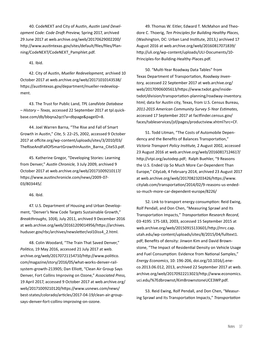40. CodeNEXT and City of Austin, *Austin Land Development Code: Code Draft Preview,* Spring 2017, archived 29 June 2017 at [web.archive.org/web/20170629002200/](https://web.archive.org/web/20170629002200/http://www.austintexas.gov/sites/default/files/files/Planning/CodeNEXT/CodeNEXT_Pamphlet.pdf) [http://www.austintexas.gov/sites/default/files/files/Plan](https://web.archive.org/web/20170629002200/http://www.austintexas.gov/sites/default/files/files/Planning/CodeNEXT/CodeNEXT_Pamphlet.pdf)[ning/CodeNEXT/CodeNEXT\\_Pamphlet.pdf](https://web.archive.org/web/20170629002200/http://www.austintexas.gov/sites/default/files/files/Planning/CodeNEXT/CodeNEXT_Pamphlet.pdf).

41. Ibid.

 42. City of Austin, *Mueller Redevelopment,* archived 10 October 2017 at [web.archive.org/web/20171010143538/](https://web.archive.org/web/20171010143538/https:/austintexas.gov/department/mueller-redevelopment) [https://austintexas.gov/department/mueller-redevelop](https://web.archive.org/web/20171010143538/https:/austintexas.gov/department/mueller-redevelopment)[ment](https://web.archive.org/web/20171010143538/https:/austintexas.gov/department/mueller-redevelopment).

 43. The Trust for Public Land, *TPL LandVote Database – History – Texas,* accessed 22 September 2017 at [tpl.quick](https://tpl.quickbase.com/db/bbqna2qct?a=dbpage&pageID=8)[base.com/db/bbqna2qct?a=dbpage&pageID=8](https://tpl.quickbase.com/db/bbqna2qct?a=dbpage&pageID=8).

 44. Joel Warren Barna, "The Rise and Fall of Smart Growth in Austin," *Cite,* 5: 22–25, 2002, accessed 9 October 2017 at [offcite.org/wp-content/uploads/sites/3/2010/03/](http://offcite.org/wp-content/uploads/sites/3/2010/03/TheRiseAndFallOfSmartGrowthInAustin_Barna_Cite53.pdf) [TheRiseAndFallOfSmartGrowthInAustin\\_Barna\\_Cite53.pdf](http://offcite.org/wp-content/uploads/sites/3/2010/03/TheRiseAndFallOfSmartGrowthInAustin_Barna_Cite53.pdf).

 45. Katherine Gregor, "Developing Stories: Learning from Denver," *Austin Chronicle,* 3 July 2009, archived 9 October 2017 at [web.archive.org/web/20171009210117/](https://web.archive.org/web/20171009210117/https://www.austinchronicle.com/news/2009-07-03/803445/) [https://www.austinchronicle.com/news/2009-07-](https://web.archive.org/web/20171009210117/https://www.austinchronicle.com/news/2009-07-03/803445/) [03/803445/](https://web.archive.org/web/20171009210117/https://www.austinchronicle.com/news/2009-07-03/803445/).

46. Ibid.

 47. U.S. Department of Housing and Urban Development, "Denver's New Code Targets Sustainable Growth," *Breakthroughs*, 10(4), July 2011, archived 9 December 2016 at [web.archive.org/web/20161209014956/https://archives.](https://web.archive.org/web/20161209014956/https://archives.huduser.gov/rbc/archives/newsletter/vol10iss4_2.html) [huduser.gov/rbc/archives/newsletter/vol10iss4\\_2.html](https://web.archive.org/web/20161209014956/https://archives.huduser.gov/rbc/archives/newsletter/vol10iss4_2.html).

 48. Colin Woodard, "The Train That Saved Denver," *Politico*, 19 May 2016, accessed 21 July 2017 at [web.](https://web.archive.org/web/20170721154710/http://www.politico.com/magazine/story/2016/05/what-works-denver-rail-system-growth-213905) [archive.org/web/20170721154710/http://www.politico.](https://web.archive.org/web/20170721154710/http://www.politico.com/magazine/story/2016/05/what-works-denver-rail-system-growth-213905) [com/magazine/story/2016/05/what-works-denver-rail](https://web.archive.org/web/20170721154710/http://www.politico.com/magazine/story/2016/05/what-works-denver-rail-system-growth-213905)[system-growth-213905](https://web.archive.org/web/20170721154710/http://www.politico.com/magazine/story/2016/05/what-works-denver-rail-system-growth-213905); Dan Elliott, "Clean Air Group Says Denver, Fort Collins Improving on Ozone," *Associated Press,*  19 April 2017, accessed 9 October 2017 at [web.archive.org/](https://web.archive.org/web/20171009210120/https://www.usnews.com/news/best-states/colorado/articles/2017-04-19/clean-air-group-says-denver-fort-collins-improving-on-ozone) [web/20171009210120/https://www.usnews.com/news/](https://web.archive.org/web/20171009210120/https://www.usnews.com/news/best-states/colorado/articles/2017-04-19/clean-air-group-says-denver-fort-collins-improving-on-ozone) [best-states/colorado/articles/2017-04-19/clean-air-group](https://web.archive.org/web/20171009210120/https://www.usnews.com/news/best-states/colorado/articles/2017-04-19/clean-air-group-says-denver-fort-collins-improving-on-ozone)[says-denver-fort-collins-improving-on-ozone](https://web.archive.org/web/20171009210120/https://www.usnews.com/news/best-states/colorado/articles/2017-04-19/clean-air-group-says-denver-fort-collins-improving-on-ozone).

 49. Thomas W. Eitler, Edward T. McMahon and Theodore C. Thoerig, *Ten Principles for Building Healthy Places*, (Washington, DC: Urban Land Institute, 2013,) archived 17 August 2016 at [web.archive.org/web/20160817071839/](https://web.archive.org/web/20160817071839/http://uli.org/wp-content/uploads/ULI-Documents/10-Principles-for-Building-Healthy-Places.pdf) [http://uli.org/wp-content/uploads/ULI-Documents/10-](https://web.archive.org/web/20160817071839/http://uli.org/wp-content/uploads/ULI-Documents/10-Principles-for-Building-Healthy-Places.pdf) [Principles-for-Building-Healthy-Places.pdf](https://web.archive.org/web/20160817071839/http://uli.org/wp-content/uploads/ULI-Documents/10-Principles-for-Building-Healthy-Places.pdf).

 50. "Multi-Year Roadway Data Tables" from Texas Department of Transportation, *Roadway Inventory,* accessed 22 September 2017 at [web.archive.org/](https://web.archive.org/web/20170906005613/https://www.txdot.gov/inside-txdot/division/transportation-planning/roadway-inventory.html) [web/20170906005613/https://www.txdot.gov/inside](https://web.archive.org/web/20170906005613/https://www.txdot.gov/inside-txdot/division/transportation-planning/roadway-inventory.html)[txdot/division/transportation-planning/roadway-inventory.](https://web.archive.org/web/20170906005613/https://www.txdot.gov/inside-txdot/division/transportation-planning/roadway-inventory.html) [html](https://web.archive.org/web/20170906005613/https://www.txdot.gov/inside-txdot/division/transportation-planning/roadway-inventory.html); data for Austin city, Texas, from U.S. Census Bureau, *2011-2015 American Community Survey 5-Year Estimates*, accessed 17 September 2017 at [factfinder.census.gov/](https://factfinder.census.gov/faces/tableservices/jsf/pages/productview.xhtml?src=CF) [faces/tableservices/jsf/pages/productview.xhtml?src=CF](https://factfinder.census.gov/faces/tableservices/jsf/pages/productview.xhtml?src=CF).

 51. Todd Litman, "The Costs of Automobile Dependency and the Benefits of Balances Transportation," *Victoria Transport Policy Institute,* 2 August 2002, accessed 23 August 2016 at [web.archive.org/web/20160817124617/](https://web.archive.org/web/20160817124617/http://vtpi.org/autodep.pdf) [http://vtpi.org/autodep.pdf;](https://web.archive.org/web/20160817124617/http://vtpi.org/autodep.pdf) Ralph Buehler, "9 Reasons the U.S. Ended Up So Much More Car-Dependent Than Europe," *CityLab*, 4 February 2014, archived 23 August 2017 at [web.archive.org/web/20170823203426/https://www.](https://web.archive.org/web/20170823203426/https://www.citylab.com/transportation/2014/02/9-reasons-us-ended-so-much-more-car-dependent-europe/8226/) [citylab.com/transportation/2014/02/9-reasons-us-ended](https://web.archive.org/web/20170823203426/https://www.citylab.com/transportation/2014/02/9-reasons-us-ended-so-much-more-car-dependent-europe/8226/)[so-much-more-car-dependent-europe/8226/](https://web.archive.org/web/20170823203426/https://www.citylab.com/transportation/2014/02/9-reasons-us-ended-so-much-more-car-dependent-europe/8226/)

 52. Link to transport energy consumption: Reid Ewing, Rolf Pendall, and Don Chen, "Measuring Sprawl and Its Transportation Impacts," *Transportation Research Record*, 03-4195: 175-183, 2003, accessed 15 September 2015 at [web.archive.org/web/20150915133601/http://mrc.cap.](https://web.archive.org/web/20150915133601/http://mrc.cap.utah.edu/wp-content/uploads/sites/8/2015/04/fulltext1.pdf) [utah.edu/wp-content/uploads/sites/8/2015/04/fulltext1.](https://web.archive.org/web/20150915133601/http://mrc.cap.utah.edu/wp-content/uploads/sites/8/2015/04/fulltext1.pdf) [pdf](https://web.archive.org/web/20150915133601/http://mrc.cap.utah.edu/wp-content/uploads/sites/8/2015/04/fulltext1.pdf); Benefits of density: Jinwon Kim and David Brownstone, "The Impact of Residential Density on Vehicle Usage and Fuel Consumption: Evidence from National Samples," *Energy Economics*, 10: 196-206, [doi.org/10.1016/j.ene](https://doi.org/10.1016/j.eneco.2013.06.012)[co.2013.06.012](https://doi.org/10.1016/j.eneco.2013.06.012), 2013, archived 22 September 2017 at [web.](https://web.archive.org/web/20170922213023/http://www.economics.uci.edu/%7Edbrownst/KimBrownstoneUCE3WP.pdf) [archive.org/web/20170922213023/http://www.economics.](https://web.archive.org/web/20170922213023/http://www.economics.uci.edu/%7Edbrownst/KimBrownstoneUCE3WP.pdf) [uci.edu/%7Edbrownst/KimBrownstoneUCE3WP.pdf.](https://web.archive.org/web/20170922213023/http://www.economics.uci.edu/%7Edbrownst/KimBrownstoneUCE3WP.pdf)

 53. Reid Ewing, Rolf Pendall, and Don Chen, "Measuring Sprawl and Its Transportation Impacts," *Transportation*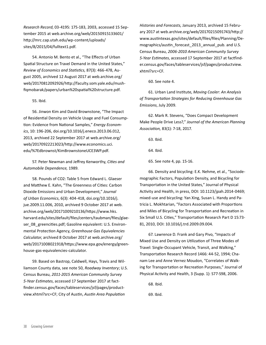*Research Record*, 03-4195: 175-183, 2003, accessed 15 September 2015 at [web.archive.org/web/20150915133601/](https://web.archive.org/web/20150915133601/http://mrc.cap.utah.edu/wp-content/uploads/sites/8/2015/04/fulltext1.pdf) [http://mrc.cap.utah.edu/wp-content/uploads/](https://web.archive.org/web/20150915133601/http://mrc.cap.utah.edu/wp-content/uploads/sites/8/2015/04/fulltext1.pdf) [sites/8/2015/04/fulltext1.pdf](https://web.archive.org/web/20150915133601/http://mrc.cap.utah.edu/wp-content/uploads/sites/8/2015/04/fulltext1.pdf).

 54. Antonio M. Bento et al., "The Effects of Urban Spatial Structure on Travel Demand in the United States," *Review of Economics and Statistics,* 87(3): 466-478, August 2005, archived 12 August 2017 at [web.archive.org/](https://web.archive.org/web/20170812092926/http://faculty.som.yale.edu/mushfiqmobarak/papers/urban%20spatial%20structure.pdf) [web/20170812092926/http://faculty.som.yale.edu/mush](https://web.archive.org/web/20170812092926/http://faculty.som.yale.edu/mushfiqmobarak/papers/urban%20spatial%20structure.pdf)[fiqmobarak/papers/urban%20spatial%20structure.pdf](https://web.archive.org/web/20170812092926/http://faculty.som.yale.edu/mushfiqmobarak/papers/urban%20spatial%20structure.pdf).

#### 55. Ibid.

 56. Jinwon Kim and David Brownstone, "The Impact of Residential Density on Vehicle Usage and Fuel Consumption: Evidence from National Samples," *Energy Economics*, 10: 196-206, [doi.org/10.1016/j.eneco.2013.06.012](https://doi.org/10.1016/j.eneco.2013.06.012), 2013, archived 22 September 2017 at [web.archive.org/](https://web.archive.org/web/20170922213023/http://www.economics.uci.edu/%7Edbrownst/KimBrownstoneUCE3WP.pdf) [web/20170922213023/http://www.economics.uci.](https://web.archive.org/web/20170922213023/http://www.economics.uci.edu/%7Edbrownst/KimBrownstoneUCE3WP.pdf) [edu/%7Edbrownst/KimBrownstoneUCE3WP.pdf](https://web.archive.org/web/20170922213023/http://www.economics.uci.edu/%7Edbrownst/KimBrownstoneUCE3WP.pdf).

 57. Peter Newman and Jeffrey Kenworthy, *Cities and Automobile Dependence,* 1989.

 58. Pounds of CO2: Table 5 from Edward L. Glaeser and Matthew E. Kahn, "The Greenness of Cities: Carbon Dioxide Emissions and Urban Development," *Journal of Urban Economics*, 6(3): 404-418, [doi.org/10.1016/j.](https://doi.org/10.1016/j.jue.2009.11.006) [jue.2009.11.006](https://doi.org/10.1016/j.jue.2009.11.006), 2010, archived 9 October 2017 at [web.](https://web.archive.org/web/20171009210136/https://www.hks.harvard.edu/sites/default/files/centers/taubman/files/glaeser_08_greencities.pdf) [archive.org/web/20171009210136/https://www.hks.](https://web.archive.org/web/20171009210136/https://www.hks.harvard.edu/sites/default/files/centers/taubman/files/glaeser_08_greencities.pdf) [harvard.edu/sites/default/files/centers/taubman/files/glae](https://web.archive.org/web/20171009210136/https://www.hks.harvard.edu/sites/default/files/centers/taubman/files/glaeser_08_greencities.pdf)[ser\\_08\\_greencities.pdf;](https://web.archive.org/web/20171009210136/https://www.hks.harvard.edu/sites/default/files/centers/taubman/files/glaeser_08_greencities.pdf) Gasoline equivalent: U.S. Environmental Protection Agency, *Greenhouse Gas Equivalencies Calculator*, archived 8 October 2017 at [web.archive.org/](https://web.archive.org/web/20171008021918/https://www.epa.gov/energy/greenhouse-gas-equivalencies-calculator) [web/20171008021918/https://www.epa.gov/energy/green](https://web.archive.org/web/20171008021918/https://www.epa.gov/energy/greenhouse-gas-equivalencies-calculator)[house-gas-equivalencies-calculator.](https://web.archive.org/web/20171008021918/https://www.epa.gov/energy/greenhouse-gas-equivalencies-calculator)

 59. Based on Bastrop, Caldwell, Hays, Travis and Williamson County data, see note 50, *Roadway Inventory*; U.S. Census Bureau, *2011-2015 American Community Survey 5-Year Estimates*, accessed 17 September 2017 at [fact](https://factfinder.census.gov/faces/tableservices/jsf/pages/productview.xhtml?src=CF)[finder.census.gov/faces/tableservices/jsf/pages/product](https://factfinder.census.gov/faces/tableservices/jsf/pages/productview.xhtml?src=CF)[view.xhtml?src=CF](https://factfinder.census.gov/faces/tableservices/jsf/pages/productview.xhtml?src=CF); City of Austin, *Austin Area Population* 

*Histories and Forecasts,* January 2013, archived 15 February 2017 at [web.archive.org/web/20170215091743/http://](https://web.archive.org/web/20170215091743/http://www.austintexas.gov/sites/default/files/files/Planning/Demographics/austin_forecast_2013_annual_pub) [www.austintexas.gov/sites/default/files/files/Planning/De](https://web.archive.org/web/20170215091743/http://www.austintexas.gov/sites/default/files/files/Planning/Demographics/austin_forecast_2013_annual_pub)[mographics/austin\\_forecast\\_2013\\_annual\\_pub](https://web.archive.org/web/20170215091743/http://www.austintexas.gov/sites/default/files/files/Planning/Demographics/austin_forecast_2013_annual_pub). and U.S. Census Bureau, *2006-2010 American Community Survey 5-Year Estimates*, accessed 17 September 2017 at [factfind](https://factfinder.census.gov/faces/tableservices/jsf/pages/productview.xhtml?src=CF)[er.census.gov/faces/tableservices/jsf/pages/productview.](https://factfinder.census.gov/faces/tableservices/jsf/pages/productview.xhtml?src=CF) [xhtml?src=CF.](https://factfinder.census.gov/faces/tableservices/jsf/pages/productview.xhtml?src=CF)

60. See note 4.

 61. Urban Land Institute, *Moving Cooler: An Analysis of Transportation Strategies for Reducing Greenhouse Gas Emissions*, July 2009.

 62. Mark R. Stevens, "Does Compact Development Make People Drive Less?," *Journal of the American Planning Association,* 83(1): 7-18, 2017.

63. Ibid.

64. Ibid.

65. See note 4, pp. 15-16.

 66. Density and bicycling: E.K. Nehme, et al., "Sociodemographic Factors, Population Density, and Bicycling for Transportation in the United States," Journal of Physical Activity and Health, in press, DOI: <10.1123/jpah>.2014-0469; mixed-use and bicycling: Yan Xing, Susan L. Handy and Patricia L. Mokhtarian, "Factors Associated with Proportions and Miles of Bicycling for Transportation and Recreation in Six Small U.S. Cities," Transportation Research Part D 15:73- 81, 2010, DOI: <10.1016/j.trd>.2009.09.004.

 67. Lawrence D. Frank and Gary Pivo, "Impacts of Mixed Use and Density on Utilization of Three Modes of Travel: Single-Occupant Vehicle, Transit, and Walking," Transportation Research Record 1466: 44-52, 1994; Chanam Lee and Anne Vernez Moudon, "Correlates of Walking for Transportation or Recreation Purposes," Journal of Physical Activity and Health, 3 (Supp. 1): S77-S98, 2006.

68. Ibid.

69. Ibid.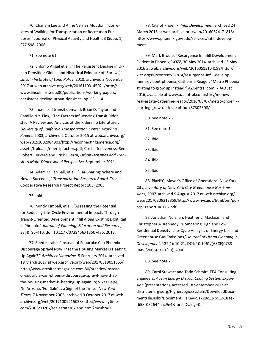70. Chanam Lee and Anne Vernez Moudon, "Correlates of Walking for Transportation or Recreation Purposes," Journal of Physical Activity and Health, 3 (Supp. 1): S77-S98, 2006.

71. See note 61.

 72. Shlomo Angel et al., "The Persistent Decline in Urban Densities: Global and Historical Evidence of 'Sprawl'," *Lincoln Institute of Land Policy*, 2010, archived 3 November 2017 at [web.archive.org/web/20161103145021/http://](https://web.archive.org/web/20161103145021/http://www.lincolninst.edu:80/publications/working-papers/persistent-decline-urban-densities) [www.lincolninst.edu:80/publications/working-papers/](https://web.archive.org/web/20161103145021/http://www.lincolninst.edu:80/publications/working-papers/persistent-decline-urban-densities) [persistent-decline-urban-densities](https://web.archive.org/web/20161103145021/http://www.lincolninst.edu:80/publications/working-papers/persistent-decline-urban-densities), pp. 53, 114.

 73. Increased transit demand: Brian D. Taylor and Camille N.Y. Fink, "The Factors Influencing Transit Ridership: A Review and Analysis of the Ridership Literature*", University of California Transportation Center, Working Papers,* 2003, archived 2 October 2015 at [web.archive.org/](https://web.archive.org/web/20151002084903/http://reconnectingamerica.org/assets/Uploads/ridersipfactors.pdf) [web/20151002084903/http://reconnectingamerica.org/](https://web.archive.org/web/20151002084903/http://reconnectingamerica.org/assets/Uploads/ridersipfactors.pdf) [assets/Uploads/ridersipfactors.pdf](https://web.archive.org/web/20151002084903/http://reconnectingamerica.org/assets/Uploads/ridersipfactors.pdf); Cost-effectiveness: See Robert Cervero and Erick Guerra, *Urban Densities and Transit: A Multi-Dimensional Perspective*, September 2011.

 74. Adam Miller-Ball, et al., "Car-Sharing: Where and How It Succeeds," *Transportation Research Board,* Transit Cooperative Research Project Report 108, 2005.

75. Ibid.

 76. Mindy Kimball, et al., "Assessing the Potential for Reducing Life-Cycle Environmental Impacts Through Transit-Oriented Development Infill Along Existing Light Rail in Phoenix," *Journal of Planning, Education and Research*, 33(4): 95-410, doi: 10.1177/0739456X13507485, 2013.

 77. Reed Karaim, "Instead of Suburbia: Can Phoenix Discourage Sprawl Now That the Housing Market is Heating Up Again?," *Architect Magazine,* 5 February 2014, archived 19 March 2017 at [web.archive.org/web/20170319051055/](https://web.archive.org/web/20170319051055/http://www.architectmagazine.com:80/practice/instead-of-suburbia-can-phoenix-discourage-sprawl-now-that-the-housing-market-is-heating-up-again_o) [http://www.architectmagazine.com:80/practice/instead](https://web.archive.org/web/20170319051055/http://www.architectmagazine.com:80/practice/instead-of-suburbia-can-phoenix-discourage-sprawl-now-that-the-housing-market-is-heating-up-again_o)[of-suburbia-can-phoenix-discourage-sprawl-now-that](https://web.archive.org/web/20170319051055/http://www.architectmagazine.com:80/practice/instead-of-suburbia-can-phoenix-discourage-sprawl-now-that-the-housing-market-is-heating-up-again_o)[the-housing-market-is-heating-up-again\\_o;](https://web.archive.org/web/20170319051055/http://www.architectmagazine.com:80/practice/instead-of-suburbia-can-phoenix-discourage-sprawl-now-that-the-housing-market-is-heating-up-again_o) Vikas Bajaj, "In Arizona, 'For Sale' Is a Sign of the Time," *New York Times,* 7 November 2006, archived 9 October 2017 at [web.](https://web.archive.org/web/20171009215038/http://www.nytimes.com/2006/11/07/realestate/07land.html?mcubz=0) [archive.org/web/20171009215038/http://www.nytimes.](https://web.archive.org/web/20171009215038/http://www.nytimes.com/2006/11/07/realestate/07land.html?mcubz=0) [com/2006/11/07/realestate/07land.html?mcubz=0.](https://web.archive.org/web/20171009215038/http://www.nytimes.com/2006/11/07/realestate/07land.html?mcubz=0)

 78. City of Phoenix, *Infill Development*, archived 24 March 2016 at [web.archive.org/web/20160524171818/](https://web.archive.org/web/20160524171818/https://www.phoenix.gov/pdd/services/infill-development) [https://www.phoenix.gov/pdd/services/infill-develop](https://web.archive.org/web/20160524171818/https://www.phoenix.gov/pdd/services/infill-development)[ment](https://web.archive.org/web/20160524171818/https://www.phoenix.gov/pdd/services/infill-development).

 79. Mark Brodie, "Resurgence In Infill Development Evident In Phoenix," *KJZZ*, 30 May 2014, archived 13 May 2016 at [web.archive.org/web/20160513104158/http://](https://web.archive.org/web/20160513104158/http://kjzz.org:80/content/31814/resurgence-infill-development-evident-phoenix) [kjzz.org:80/content/31814/resurgence-infill-develop](https://web.archive.org/web/20160513104158/http://kjzz.org:80/content/31814/resurgence-infill-development-evident-phoenix)[ment-evident-phoenix](https://web.archive.org/web/20160513104158/http://kjzz.org:80/content/31814/resurgence-infill-development-evident-phoenix); Catherine Reagor, "Metro Phoenix strating to grow up instead," [AZCentral.com,](AZCentral.com) 7 August 2016, available at [www.azcentral.com/story/money/](http://www.azcentral.com/story/money/real-estate/catherine-reagor/2016/08/07/metro-phoenix-starting-grow-up-instead-out/87302308/) [real-estate/catherine-reagor/2016/08/07/metro-phoenix](http://www.azcentral.com/story/money/real-estate/catherine-reagor/2016/08/07/metro-phoenix-starting-grow-up-instead-out/87302308/)[starting-grow-up-instead-out/87302308/](http://www.azcentral.com/story/money/real-estate/catherine-reagor/2016/08/07/metro-phoenix-starting-grow-up-instead-out/87302308/).

- 80. See note 76.
- 81. See note 1.
- 82. Ibid.
- 83. Ibid.
- 84. Ibid.
- 85. Ibid.

 86. PlaNYC, Mayor's Office of Operations, New York City, *Inventory of New York City Greenhouse Gas Emissions*, 2007, archived 9 August 2017 at [web.archive.org/](https://web.archive.org/web/20170809213359/http://www.nyc.gov/html/om/pdf/ccp_report041007.pdf) [web/20170809213359/http://www.nyc.gov/html/om/pdf/](https://web.archive.org/web/20170809213359/http://www.nyc.gov/html/om/pdf/ccp_report041007.pdf) [ccp\\_report041007.pdf.](https://web.archive.org/web/20170809213359/http://www.nyc.gov/html/om/pdf/ccp_report041007.pdf)

 87. Jonathan Norman, Heather L. MacLean, and Christopher A. Kennedy, "Comparing High and Low Residential Density: Life-Cycle Analysis of Energy Use and Greenhouse Gas Emissions," *Journal of Urban Planning in Development,* 132(1): 10-21, DOI: 10.1061/(ASCE)0733- 9488(2006)132:1(10), 2006.

#### 88. See note 2.

 89. Carol Stewart and Todd Schmitt, EEA Consulting Engineers, *Austin Energy District Cooling System Expansion* (presentation), accessed 18 September 2017 at [districtenergy.org/HigherLogic/System/DownloadDocu](http://www.districtenergy.org/HigherLogic/System/DownloadDocumentFile.ashx?DocumentFileKey=91729c11-bc17-181e-f658-082644aac9e4&forceDialog=0)[mentFile.ashx?DocumentFileKey=91729c11-bc17-181e](http://www.districtenergy.org/HigherLogic/System/DownloadDocumentFile.ashx?DocumentFileKey=91729c11-bc17-181e-f658-082644aac9e4&forceDialog=0)[f658-082644aac9e4&forceDialog=0](http://www.districtenergy.org/HigherLogic/System/DownloadDocumentFile.ashx?DocumentFileKey=91729c11-bc17-181e-f658-082644aac9e4&forceDialog=0).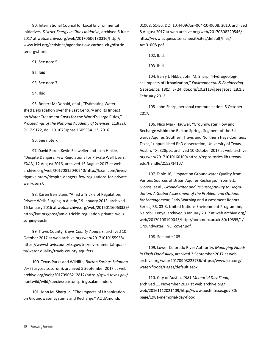90. International Council for Local Environmental Initiatives, *District Energy in Cities Initiative*, archived 6 June 2017 at [web.archive.org/web/20170606130316/http://](https://web.archive.org/web/20170606130316/http://www.iclei.org/activities/agendas/low-carbon-city/districtenergy.html) [www.iclei.org/activities/agendas/low-carbon-city/distric](https://web.archive.org/web/20170606130316/http://www.iclei.org/activities/agendas/low-carbon-city/districtenergy.html)[tenergy.html.](https://web.archive.org/web/20170606130316/http://www.iclei.org/activities/agendas/low-carbon-city/districtenergy.html)

91. See note 5.

92. Ibid.

93. See note 7.

94. Ibid.

 95. Robert McDonald, et al., "Estimating Watershed Degradation over the Last Century and Its Impact on Water-Treatment Costs for the World's Large Cities," *Proceedings of the National Academy of Sciences*, 113(32): 9117-9122, doi: <10.1073/pnas>.1605354113, 2016.

96. See note 7.

 97. David Barer, Kevin Schweller and Josh Hinkle, "Despite Dangers, Few Regulations for Private Well Users," *KXAN*, 12 August 2016, archived 15 August 2017 at [web.](https://web.archive.org/web/20170815040240/http://kxan.com/investigative-story/despite-dangers-few-regulations-for-private-well-users/) [archive.org/web/20170815040240/http://kxan.com/inves](https://web.archive.org/web/20170815040240/http://kxan.com/investigative-story/despite-dangers-few-regulations-for-private-well-users/)[tigative-story/despite-dangers-few-regulations-for-private](https://web.archive.org/web/20170815040240/http://kxan.com/investigative-story/despite-dangers-few-regulations-for-private-well-users/)[well-users/.](https://web.archive.org/web/20170815040240/http://kxan.com/investigative-story/despite-dangers-few-regulations-for-private-well-users/)

 98. Karen Bernstein, "Amid a Trickle of Regulation, Private Wells Surging in Austin," 9 January 2013, archived 16 January 2016 at [web.archive.org/web/20160116063339/](https://web.archive.org/web/20160116063339/http://kut.org/post/amid-trickle-regulation-private-wells-surging-austin) [http://kut.org/post/amid-trickle-regulation-private-wells](https://web.archive.org/web/20160116063339/http://kut.org/post/amid-trickle-regulation-private-wells-surging-austin)[surging-austin](https://web.archive.org/web/20160116063339/http://kut.org/post/amid-trickle-regulation-private-wells-surging-austin).

 99. Travis County, *Travis County Aquifers*, archived 10 October 2017 at [web.archive.org/web/20171010155938/](https://web.archive.org/web/20171010155938/https://www.traviscountytx.gov/tnr/environmental-quality/water-quality/travis-county-aquifers) [https://www.traviscountytx.gov/tnr/environmental-quali](https://web.archive.org/web/20171010155938/https://www.traviscountytx.gov/tnr/environmental-quality/water-quality/travis-county-aquifers)[ty/water-quality/travis-county-aquifers.](https://web.archive.org/web/20171010155938/https://www.traviscountytx.gov/tnr/environmental-quality/water-quality/travis-county-aquifers)

 100. Texas Parks and Wildlife, *Barton Springs Salamander* (Eurycea sosorum), archived 5 September 2017 at [web.](https://web.archive.org/web/20170905212812/https://tpwd.texas.gov/huntwild/wild/species/bartonspringssalamander/) [archive.org/web/20170905212812/https://tpwd.texas.gov/](https://web.archive.org/web/20170905212812/https://tpwd.texas.gov/huntwild/wild/species/bartonspringssalamander/) [huntwild/wild/species/bartonspringssalamander/.](https://web.archive.org/web/20170905212812/https://tpwd.texas.gov/huntwild/wild/species/bartonspringssalamander/)

 101. John M. Sharp Jr., "The Impacts of Urbanization on Groundwater Systems and Recharge," AQUAmundi,

01008: 51-56, DOI [10.4409/Am-](10.4409/Am)004-10-0008, 2010, archived 8 August 2017 at [web.archive.org/web/20170808220546/](https://web.archive.org/web/20170808220546/http://www.acquesotterranee.it/sites/default/files/Am01008.pdf) [http://www.acquesotterranee.it/sites/default/files/](https://web.archive.org/web/20170808220546/http://www.acquesotterranee.it/sites/default/files/Am01008.pdf) [Am01008.pdf](https://web.archive.org/web/20170808220546/http://www.acquesotterranee.it/sites/default/files/Am01008.pdf).

102. Ibid.

103. Ibid.

 104. Barry J. Hibbs, John M. Sharp, "Hydrogeological Impacts of Urbanization," *Environmental & Engineering Geoscience,* 18(1): 3- 24, [doi.org/10.2113/gseegeosci.18.1.3](https://doi.org/10.2113/gseegeosci.18.1.3), February 2012.

 105. John Sharp, personal communication, 5 October 2017.

 106. Nico Mark Hauwer, "Groundwater Flow and Recharge within the Barton Springs Segment of the Edwards Aquifer, Southern Travis and Northern Hays Counties, Texas," unpublished PhD dissertation, University of Texas, Austin, TX, 328pp., archived 10 October 2017 at [web.archive.](https://web.archive.org/web/20171010160109/https://repositories.lib.utexas.edu/handle/2152/14107) [org/web/20171010160109/https://repositories.lib.utexas.](https://web.archive.org/web/20171010160109/https://repositories.lib.utexas.edu/handle/2152/14107) [edu/handle/2152/14107](https://web.archive.org/web/20171010160109/https://repositories.lib.utexas.edu/handle/2152/14107).

 107. Table 16, "Impact on Groundwater Quality from Various Sources of Urban Aquifer Recharge," from B.L. Morris, et al., *Groundwater and its Susceptibility to Degradation: A Global Assessment of the Problem and Options for Management*, Early Warning and Assessment Report Series, RS. 03-3, United Nations Environment Programme, Nairobi, Kenya, archived 8 January 2017 at [web.archive.org/](https://web.archive.org/web/20170108190043/http://nora.nerc.ac.uk:80/19395/1/Groundwater_INC_cover.pdf) [web/20170108190043/http://nora.nerc.ac.uk:80/19395/1/](https://web.archive.org/web/20170108190043/http://nora.nerc.ac.uk:80/19395/1/Groundwater_INC_cover.pdf) [Groundwater\\_INC\\_cover.pdf.](https://web.archive.org/web/20170108190043/http://nora.nerc.ac.uk:80/19395/1/Groundwater_INC_cover.pdf)

108. See note 105.

 109. Lower Colorado River Authority, *Managing Floods in Flash Flood Alley*, archived 3 September 2017 at [web.](https://web.archive.org/web/20170903223756/https://www.lcra.org/water/floods/Pages/default.aspx) [archive.org/web/20170903223756/https://www.lcra.org/](https://web.archive.org/web/20170903223756/https://www.lcra.org/water/floods/Pages/default.aspx) [water/floods/Pages/default.aspx](https://web.archive.org/web/20170903223756/https://www.lcra.org/water/floods/Pages/default.aspx).

 110. City of Austin, *1981 Memorial Day Flood*, archived 11 November 2017 at [web.archive.org/](https://web.archive.org/web/20161112021409/http://www.austintexas.gov:80/page/1981-memorial-day-flood) [web/20161112021409/http://www.austintexas.gov:80/](https://web.archive.org/web/20161112021409/http://www.austintexas.gov:80/page/1981-memorial-day-flood) [page/1981-memorial-day-flood](https://web.archive.org/web/20161112021409/http://www.austintexas.gov:80/page/1981-memorial-day-flood).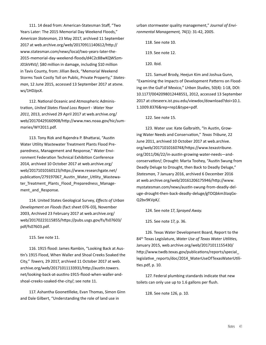111. 14 dead from: American-Statesman Staff, "Two Years Later: The 2015 Memorial Day Weekend Floods," *American Statesman*, 23 May 2017, archived 11 September 2017 at [web.archive.org/web/20170911140612/http://](https://web.archive.org/web/20170911140612/http://www.statesman.com/news/local/two-years-later-the-2015-memorial-day-weekend-floods/d4C2c88wKQWSzmJ01kV4VJ/) [www.statesman.com/news/local/two-years-later-the-](https://web.archive.org/web/20170911140612/http://www.statesman.com/news/local/two-years-later-the-2015-memorial-day-weekend-floods/d4C2c88wKQWSzmJ01kV4VJ/)[2015-memorial-day-weekend-floods/d4C2c88wKQWSzm](https://web.archive.org/web/20170911140612/http://www.statesman.com/news/local/two-years-later-the-2015-memorial-day-weekend-floods/d4C2c88wKQWSzmJ01kV4VJ/)-[J01kV4VJ/](https://web.archive.org/web/20170911140612/http://www.statesman.com/news/local/two-years-later-the-2015-memorial-day-weekend-floods/d4C2c88wKQWSzmJ01kV4VJ/); \$80 million in damage, including \$10 million in Tavis County, from: Jillian Beck, "Memorial Weekend Storms Took Costly Toll on Public, Private Property," *Statesman*, 12 June 2015, accessed 13 September 2017 at [atxne.](http://atxne.ws/1HDJpsX) [ws/1HDJpsX.](http://atxne.ws/1HDJpsX)

 112. National Oceanic and Atmospheric Administration, *United States Flood Loss Report - Water Year 2011*, 2013, archived 29 April 2017 at [web.archive.org/](https://web.archive.org/web/20170429160908/http://www.nws.noaa.gov/hic/summaries/WY2011.pdf) [web/20170429160908/http://www.nws.noaa.gov/hic/sum](https://web.archive.org/web/20170429160908/http://www.nws.noaa.gov/hic/summaries/WY2011.pdf)[maries/WY2011.pdf.](https://web.archive.org/web/20170429160908/http://www.nws.noaa.gov/hic/summaries/WY2011.pdf)

 113. Tony Rizk and Rajendra P. Bhattarai, "Austin Water Utility Wastewater Treatment Plants Flood Preparedness, Management and Response," Water Environment Federation Technical Exhibition Conference 2014, archived 10 October 2017 at [web.archive.org/](https://web.archive.org/web/20171010160123/https://www.researchgate.net/publication/279197067_Austin_Water_Utility_Wastewater_Treatment_Plants_Flood_Preparedness_Management_and_Response) [web/20171010160123/https://www.researchgate.net/](https://web.archive.org/web/20171010160123/https://www.researchgate.net/publication/279197067_Austin_Water_Utility_Wastewater_Treatment_Plants_Flood_Preparedness_Management_and_Response) publication/279197067 Austin\_Water\_Utility\_Wastewater Treatment Plants Flood Preparedness Management and Response.

 114. United States Geological Survey, *Effects of Urban Development on Floods* (fact sheet 076-03), November 2003, Archived 23 February 2017 at [web.archive.org/](https://web.archive.org/web/20170223115855/https://pubs.usgs.gov/fs/fs07603/pdf/fs07603.pdf) [web/20170223115855/https://pubs.usgs.gov/fs/fs07603/](https://web.archive.org/web/20170223115855/https://pubs.usgs.gov/fs/fs07603/pdf/fs07603.pdf) [pdf/fs07603.pdf.](https://web.archive.org/web/20170223115855/https://pubs.usgs.gov/fs/fs07603/pdf/fs07603.pdf)

115. See note 11.

 116. 1915 flood: James Rambin, "Looking Back at Austin's 1915 Flood, When Waller and Shoal Creeks Soaked the City," *Towers,* 29 2017, archived 11 October 2017 at [web.](https://web.archive.org/web/20171011133931/http://austin.towers.net/looking-back-at-austins-1915-flood-when-waller-and-shoal-creeks-soaked-the-city/) [archive.org/web/20171011133931/http://austin.towers.](https://web.archive.org/web/20171011133931/http://austin.towers.net/looking-back-at-austins-1915-flood-when-waller-and-shoal-creeks-soaked-the-city/) [net/looking-back-at-austins-1915-flood-when-waller-and](https://web.archive.org/web/20171011133931/http://austin.towers.net/looking-back-at-austins-1915-flood-when-waller-and-shoal-creeks-soaked-the-city/)[shoal-creeks-soaked-the-city/](https://web.archive.org/web/20171011133931/http://austin.towers.net/looking-back-at-austins-1915-flood-when-waller-and-shoal-creeks-soaked-the-city/); see note 11.

 117. Ashantha Goonetilleke, Evan Thomas, Simon Ginn and Dale Gilbert, "Understanding the role of land use in

urban stormwater quality management," *Journal of Environmental Management,* 74(1): 31-42, 2005.

118. See note 10.

119. See note 12.

120. Ibid.

 121. Samuel Brody, Heejun Kim and Joshua Gunn, "Examining the Impacts of Development Patterns on Flooding on the Gulf of Mexico," *Urban Studies*, 50(4): 1-18, DOI: 10.1177/0042098012448551, 2012, accessed 13 September 2017 at [citeseerx.ist.psu.edu/viewdoc/download?doi=10.1.](http://citeseerx.ist.psu.edu/viewdoc/download?doi=10.1.1.1009.8376&rep=rep1&type=pdf) [1.1009.8376&rep=rep1&type=pdf.](http://citeseerx.ist.psu.edu/viewdoc/download?doi=10.1.1.1009.8376&rep=rep1&type=pdf)

122. See note 15.

 123. Water use: Kate Galbraith, "In Austin, Growing Water Needs and Conservation," *Texas Tribune*, 22 June 2011, archived 10 October 2017 at [web.archive.](https://web.archive.org/web/20171010160748/https://www.texastribune.org/2011/06/22/in-austin-growing-water-needs--and-conservation/) [org/web/20171010160748/https://www.texastribune.](https://web.archive.org/web/20171010160748/https://www.texastribune.org/2011/06/22/in-austin-growing-water-needs--and-conservation/) [org/2011/06/22/in-austin-growing-water-needs—and](https://web.archive.org/web/20171010160748/https://www.texastribune.org/2011/06/22/in-austin-growing-water-needs--and-conservation/)[conservation/](https://web.archive.org/web/20171010160748/https://www.texastribune.org/2011/06/22/in-austin-growing-water-needs--and-conservation/); Drought: Marta Toohey, "Austin Swung from Deadly Deluge to Drought, then Back to Deadly Deluge," *Statesman,* 7 January 2016, archived 6 December 2016 at [web.archive.org/web/20161206175946/http://www.](https://web.archive.org/web/20161206175946/http://www.mystatesman.com/news/austin-swung-from-deadly-deluge-drought-then-back-deadly-deluge/gTOQbkm3IaqGxQ2bv9KVpK/) [mystatesman.com/news/austin-swung-from-deadly-del](https://web.archive.org/web/20161206175946/http://www.mystatesman.com/news/austin-swung-from-deadly-deluge-drought-then-back-deadly-deluge/gTOQbkm3IaqGxQ2bv9KVpK/)[uge-drought-then-back-deadly-deluge/gTOQbkm3IaqGx](https://web.archive.org/web/20161206175946/http://www.mystatesman.com/news/austin-swung-from-deadly-deluge-drought-then-back-deadly-deluge/gTOQbkm3IaqGxQ2bv9KVpK/)-[Q2bv9KVpK/](https://web.archive.org/web/20161206175946/http://www.mystatesman.com/news/austin-swung-from-deadly-deluge-drought-then-back-deadly-deluge/gTOQbkm3IaqGxQ2bv9KVpK/).

124. See note 17, *Sprayed Away.*

125. See note 17, p. 36.

 126. Texas Water Development Board, Report to the 84th Texas Legislature, *Water Use of Texas Water Utilities,*  January 2015, [web.archive.org/web/20171011155430/](https://web.archive.org/web/20171011155430/http://www.twdb.texas.gov/publications/reports/special_legislative_reports/doc/2014_WaterUseOfTexasWaterUtilities.pdf) [http://www.twdb.texas.gov/publications/reports/special\\_](https://web.archive.org/web/20171011155430/http://www.twdb.texas.gov/publications/reports/special_legislative_reports/doc/2014_WaterUseOfTexasWaterUtilities.pdf) [legislative\\_reports/doc/2014\\_WaterUseOfTexasWaterUtili](https://web.archive.org/web/20171011155430/http://www.twdb.texas.gov/publications/reports/special_legislative_reports/doc/2014_WaterUseOfTexasWaterUtilities.pdf)[ties.pdf](https://web.archive.org/web/20171011155430/http://www.twdb.texas.gov/publications/reports/special_legislative_reports/doc/2014_WaterUseOfTexasWaterUtilities.pdf), p. 10.

 127. Federal plumbing standards indicate that new toilets can only use up to 1.6 gallons per flush.

128. See note 126, p. 10.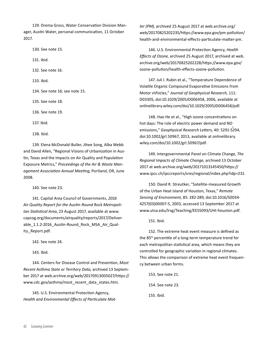129. Drema Gross, Water Conservation Division Manager, Austin Water, personal communication, 11 October 2017.

 130. See note 15. 131. Ibid. 132. See note 16. 133. Ibid. 134. See note 16; see note 15. 135. See note 18. 136. See note 19. 137. Ibid. 138. Ibid.

 139. Elena McDonald-Buller, Jihee Song, Alba Webb and David Allen, "Regional Visions of Urbanization in Austin, Texas and the Impacts on Air Quality and Population Exposure Metrics," *Proceedings of the Air & Waste Management Association Annual Meeting*, Portland, OR, June 2008.

140. See note 23.

 141. Capital Area Council of Governments, *2016 Air Quality Report for the Austin-Round Rock Metropolitan Statistical Area*, 23 August 2017, available at www. capcog.org/documents/airquality/reports/2017/Deliverable 1.1.2-2016 Austin-Round Rock MSA Air Quality\_Report.pdf.

142. See note 24.

143. Ibid.

 144. Centers for Disease Control and Prevention, *Most Recent Asthma State or Territory Data,* archived 13 September 2017 at [web.archive.org/web/20170913005027/https://](https://web.archive.org/web/20170913005027/https://www.cdc.gov/asthma/most_recent_data_states.htm) [www.cdc.gov/asthma/most\\_recent\\_data\\_states.htm](https://web.archive.org/web/20170913005027/https://www.cdc.gov/asthma/most_recent_data_states.htm).

 145. U.S. Environmental Protection Agency, *Health and Environmental Effects of Particulate Mat-* *ter (PM),* archived 25 August 2017 at [web.archive.org/](https://web.archive.org/web/20170825202235/https://www.epa.gov/pm-pollution/health-and-environmental-effects-particulate-matter-pm) [web/20170825202235/https://www.epa.gov/pm-pollution/](https://web.archive.org/web/20170825202235/https://www.epa.gov/pm-pollution/health-and-environmental-effects-particulate-matter-pm) [health-and-environmental-effects-particulate-matter-pm.](https://web.archive.org/web/20170825202235/https://www.epa.gov/pm-pollution/health-and-environmental-effects-particulate-matter-pm)

 146. U.S. Environmental Protection Agency, *Health Effects of Ozone,* archived 25 August 2017, archived at [web.](https://web.archive.org/web/20170825202228/https://www.epa.gov/ozone-pollution/health-effects-ozone-pollution) [archive.org/web/20170825202228/https://www.epa.gov/](https://web.archive.org/web/20170825202228/https://www.epa.gov/ozone-pollution/health-effects-ozone-pollution) [ozone-pollution/health-effects-ozone-pollution.](https://web.archive.org/web/20170825202228/https://www.epa.gov/ozone-pollution/health-effects-ozone-pollution)

 147. Juli I. Rubin et al., "Temperature Dependence of Volatile Organic Compound Evaporative Emissions from Motor vVhicles," *Journal of Geophysical Research,* 111: D03305, doi:10.1029/2005JD006458, 2006, available at [onlinelibrary.wiley.com/doi/10.1029/2005JD006458/pdf.](http://onlinelibrary.wiley.com/doi/10.1029/2005JD006458/pdf)

 148. Hao He et al., "High ozone concentrations on hot days: The role of electric power demand and NOemissions," *Geophysical Research Letters,* 40: 5291-5294, doi:[10.1002/grl.](10.1002/grl)50967, 2013, available at [onlinelibrary.](http://onlinelibrary.wiley.com/doi/10.1002/grl.50967/pdf) [wiley.com/doi/10.1002/grl.50967/pdf](http://onlinelibrary.wiley.com/doi/10.1002/grl.50967/pdf).

 149. Intergovernmental Panel on Climate Change, *The Regional Impacts of Climate Change,* archived 13 October 2017 at [web.archive.org/web/20171013145450/https://](https://web.archive.org/web/20171013145450/https://www.ipcc.ch/ipccreports/sres/regional/index.php?idp=231) [www.ipcc.ch/ipccreports/sres/regional/index.php?idp=231.](https://web.archive.org/web/20171013145450/https://www.ipcc.ch/ipccreports/sres/regional/index.php?idp=231)

 150. David R. Streutker, "Satellite-measured Growth of the Urban Heat Island of Houston, Texas," *Remote Sensing of Environment,* 85: 282-289, doi:10.1016/S0034- 4257(03)00007-5, 2003, accessed 13 September 2017 at [www.utsa.edu/lrsg/Teaching/EES5093/UHI-houston.pdf](http://www.utsa.edu/lrsg/Teaching/EES5093/UHI-houston.pdf).

151. Ibid.

 152. The extreme heat event measure is defined as the 85th percentile of a long-term temperature trend for each metropolitan statistical area, which means they are controlled for geographic variation in regional climates. This allows the comparison of extreme heat event frequency between urban forms.

 153. See note 21. 154. See note 23. 155. Ibid.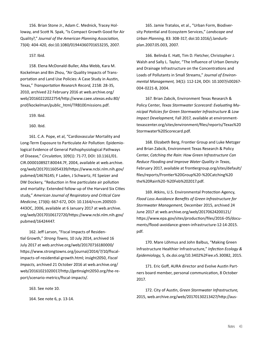156. Brian Stone Jr., Adam C. Mednick, Tracey Holloway, and Scott N. Spak, "Is Compact Growth Good for Air Quality?," *Journal of the American Planning Association,*  73(4): 404-420, doi:10.1080/01944360701653235, 2007.

#### 157. Ibid.

 158. Elena McDonald-Buller, Alba Webb, Kara M. Kockelman and Bin Zhou, "Air Quality Impacts of Transportation and Land Use Policies: A Case Study in Austin, Texas," *Transportation Research Record,* 2158: 28-35, 2010, archived 22 February 2016 at [web.archive.org/](https://web.archive.org/web/20160222022754/http://www.caee.utexas.edu:80/prof/kockelman/public_html/TRB10Emissions.pdf) [web/20160222022754/http://www.caee.utexas.edu:80/](https://web.archive.org/web/20160222022754/http://www.caee.utexas.edu:80/prof/kockelman/public_html/TRB10Emissions.pdf) [prof/kockelman/public\\_html/TRB10Emissions.pdf.](https://web.archive.org/web/20160222022754/http://www.caee.utexas.edu:80/prof/kockelman/public_html/TRB10Emissions.pdf)

159. Ibid.

160. Ibid.

 161. C.A. Pope, et al, "Cardiovascular Mortality and Long-Term Exposure to Particulate Air Pollution: Epidemiological Evidence of General Pathophysiological Pathways of Disease," *Circulation*, 109(1): 71-77, DOI: [10.1161/01.](10.1161/01.CIR) [CIR](10.1161/01.CIR).0000108927.80044.7F, 2004, available at [web.archive.](https://web.archive.org/web/20170116054339/https://www.ncbi.nlm.nih.gov/pubmed/14676145) [org/web/20170116054339/https://www.ncbi.nlm.nih.gov/](https://web.archive.org/web/20170116054339/https://www.ncbi.nlm.nih.gov/pubmed/14676145) [pubmed/14676145](https://web.archive.org/web/20170116054339/https://www.ncbi.nlm.nih.gov/pubmed/14676145); F Laden, J Schwartz, FE Speizer and DW Dockery, "Reduction in fine particulate air pollution and mortality: Extended follow-up of the Harvard Six Cities study," *American Journal of Respiratory and Critical Care Medicine*, 173(6): 667-672, DOI: <10.1164/rccm>.200503- 443OC, 2006, available at 6 January 2017 at [web.archive.](https://web.archive.org/web/20170106172720/https://www.ncbi.nlm.nih.gov/pubmed/16424447) [org/web/20170106172720/https://www.ncbi.nlm.nih.gov/](https://web.archive.org/web/20170106172720/https://www.ncbi.nlm.nih.gov/pubmed/16424447) [pubmed/16424447](https://web.archive.org/web/20170106172720/https://www.ncbi.nlm.nih.gov/pubmed/16424447).

 162. Jeff Larson, "Fiscal Impacts of Residential Growth," *Strong Towns,* 10 July 2014, archived 16 July 2017 at [web.archive.org/web/20170716180000/](file:///C:\Users\keshel\Google%20Drive\EnvTX%20compact%20development\web.archive.org\web\20170716180000\https:\www.strongtowns.org\journal\2014\7\10\fiscal-impacts-of-residential-growth.html) [https://www.strongtowns.org/journal/2014/7/10/fiscal](file:///C:\Users\keshel\Google%20Drive\EnvTX%20compact%20development\web.archive.org\web\20170716180000\https:\www.strongtowns.org\journal\2014\7\10\fiscal-impacts-of-residential-growth.html)[impacts-of-residential-growth.html;](file:///C:\Users\keshel\Google%20Drive\EnvTX%20compact%20development\web.archive.org\web\20170716180000\https:\www.strongtowns.org\journal\2014\7\10\fiscal-impacts-of-residential-growth.html) insight2050, *Fiscal Impacts,* archived 21 October 2016 at [web.archive.org/](https://web.archive.org/web/20161021020017/http://getinsight2050.org/the-report/scenario-metrics/fiscal-impacts/) [web/20161021020017/http://getinsight2050.org/the-re](https://web.archive.org/web/20161021020017/http://getinsight2050.org/the-report/scenario-metrics/fiscal-impacts/)[port/scenario-metrics/fiscal-impacts/](https://web.archive.org/web/20161021020017/http://getinsight2050.org/the-report/scenario-metrics/fiscal-impacts/).

163. See note 10.

164. See note 6, p. 13-14.

 165. Jamie Tratalos, et al., "Urban Form, Biodiversity Potential and Ecosystem Services," *Landscape and Urban Planning,* 83: 308-317, doi:[10.1016/j.landurb](10.1016/j.landurbplan)[plan](10.1016/j.landurbplan).2007.05.003, 2007.

 166. Belinda E. Hatt, Tim D. Fletcher, Christopher J. Walsh and Sally L. Taylor, "The Influence of Urban Density and Drainage Infrastructure on the Concentrations and Loads of Pollutants in Small Streams," *Journal of Environmental Management,* 34(1): 112-124, DOI: 10.1007/s00267- 004-0221-8, 2004.

 167. Brian Zabcik, Environment Texas Research & Policy Center, *Texas Stormwater Scorecard: Evaluating Municipal Policies for Green Stormwater Infrastructure & Low Impact Development,* Fall 2017, available at [environment](https://environmenttexascenter.org/sites/environment/files/reports/Texas%20Stormwater%20Scorecard.pdf)[texascenter.org/sites/environment/files/reports/Texas%20](https://environmenttexascenter.org/sites/environment/files/reports/Texas%20Stormwater%20Scorecard.pdf) [Stormwater%20Scorecard.pdf](https://environmenttexascenter.org/sites/environment/files/reports/Texas%20Stormwater%20Scorecard.pdf).

 168. Elizabeth Berg, Frontier Group and Luke Metzger and Brian Zabcik, Environment Texas Research & Policy Center, *Catching the Rain: How Green Infrastructure Can Reduce Flooding and Improve Water Quality in Texas*, February 2017, available at [frontiergroup.org/sites/default/](https://frontiergroup.org/sites/default/files/reports/Frontier%20Group%20-%20Catching%20the%20Rain%20-%20Feb%202017.pdf) [files/reports/Frontier%20Group%20-%20Catching%20](https://frontiergroup.org/sites/default/files/reports/Frontier%20Group%20-%20Catching%20the%20Rain%20-%20Feb%202017.pdf) [the%20Rain%20-%20Feb%202017.pdf](https://frontiergroup.org/sites/default/files/reports/Frontier%20Group%20-%20Catching%20the%20Rain%20-%20Feb%202017.pdf).

 169. Atkins, U.S. Environmental Protection Agency, *Flood Loss Avoidance Benefits of Green Infrastructure for Stormwater Management,* December 2015, archived 24 June 2017 at [web.archive.org/web/20170624200121/](https://web.archive.org/web/20170624200121/https://www.epa.gov/sites/production/files/2016-05/documents/flood-avoidance-green-infrastructure-12-14-2015.pdf) [https://www.epa.gov/sites/production/files/2016-05/docu](https://web.archive.org/web/20170624200121/https://www.epa.gov/sites/production/files/2016-05/documents/flood-avoidance-green-infrastructure-12-14-2015.pdf)[ments/flood-avoidance-green-infrastructure-12-14-2015.](https://web.archive.org/web/20170624200121/https://www.epa.gov/sites/production/files/2016-05/documents/flood-avoidance-green-infrastructure-12-14-2015.pdf) [pdf.](https://web.archive.org/web/20170624200121/https://www.epa.gov/sites/production/files/2016-05/documents/flood-avoidance-green-infrastructure-12-14-2015.pdf)

 170. Mare Löhmus and John Balbus, "Making Green Infrastructure Healthier Infrastructure," *Infection Ecology & Epidemiology,* 5, [dx.doi.org/10.3402%2Fiee.v5.30082,](https://dx.doi.org/10.3402%2Fiee.v5.30082) 2015.

 171. Eric Goff, AURA director and Evolve Austin Partners board member, personal communication, 8 October 2017.

 172. City of Austin, *Green Stormwater Infrastructure,*  2015, [web.archive.org/web/20170130213427/http://aus](https://web.archive.org/web/20170130213427/http://austintexas.gov/sites/default/files/files/Watershed/MasterPlan/Green_Infrastructure.pdf)-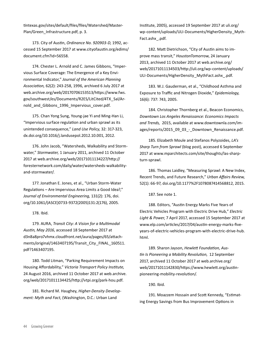[tintexas.gov/sites/default/files/files/Watershed/Master](https://web.archive.org/web/20170130213427/http://austintexas.gov/sites/default/files/files/Watershed/MasterPlan/Green_Infrastructure.pdf)-[Plan/Green\\_Infrastructure.pdf,](https://web.archive.org/web/20170130213427/http://austintexas.gov/sites/default/files/files/Watershed/MasterPlan/Green_Infrastructure.pdf) p. 3.

 173. City of Austin, *Ordinance No. 920903-D*, 1992, accessed 15 September 2017 at [www.cityofaustin.org/edims/](http://www.cityofaustin.org/edims/document.cfm?id=56558) [document.cfm?id=56558](http://www.cityofaustin.org/edims/document.cfm?id=56558).

 174. Chester L. Arnold and C. James Gibbons, "Impervious Surface Coverage: The Emergence of a Key Environmental Indicator," *Journal of the American Planning Association,* 62(2): 243-258, 1996, archived 6 July 2017 at [web.archive.org/web/20170706153513/https://www.fws.](https://web.archive.org/web/20170706153513/https://www.fws.gov/southwest/es/Documents/R2ES/LitCited/4TX_Sal/Arnold_and_Gibbons_1996_Impervious_cover.pdf) [gov/southwest/es/Documents/R2ES/LitCited/4TX\\_Sal/Ar](https://web.archive.org/web/20170706153513/https://www.fws.gov/southwest/es/Documents/R2ES/LitCited/4TX_Sal/Arnold_and_Gibbons_1996_Impervious_cover.pdf)nold and Gibbons 1996 Impervious cover.pdf.

 175. Chan Yong Sung, Young-jae Yi and Ming-Han Li, "Impervious surface regulation and urban sprawl as its unintended consequence," *Land Use Policy*, 32: 317-323, [dx.doi.org/10.1016/j.landusepol.2012.10.001,](http://dx.doi.org/10.1016/j.landusepol.2012.10.001) 2012.

 176. John Jacob, "Watersheds, Walkability and Stormwater," *Stormwater,* 1 January 2011, archived 11 October 2017 at [web.archive.org/web/20171011134227/http://](https://web.archive.org/web/20171011134227/http://foresternetwork.com/daily/water/watersheds-walkability-and-stormwater/) [foresternetwork.com/daily/water/watersheds-walkability](https://web.archive.org/web/20171011134227/http://foresternetwork.com/daily/water/watersheds-walkability-and-stormwater/)[and-stormwater/](https://web.archive.org/web/20171011134227/http://foresternetwork.com/daily/water/watersheds-walkability-and-stormwater/).

 177. Jonathan E. Jones, et al., "Urban Storm-Water Regulations – Are Impervious Area Limits a Good Idea?," *Journal of Environmental Engineering,* 131(2): 176, [doi.](https://doi.org/10.1061/(ASCE)0733-9372(2005)131:2(176)) [org/10.1061/\(ASCE\)0733-9372\(2005\)131:2\(176\)](https://doi.org/10.1061/(ASCE)0733-9372(2005)131:2(176)), 2005.

178. Ibid.

 179. AURA, *Transit City: A Vision for a Multimodal Austin, May 2016*, accessed 18 September 2017 at [d3n8a8pro7vhmx.cloudfront.net/aura/pages/65/attach](https://d3n8a8pro7vhmx.cloudfront.net/aura/pages/65/attachments/original/1463407195/Transit_City_FINAL_160511.pdf?1463407195)[ments/original/1463407195/Transit\\_City\\_FINAL\\_160511.](https://d3n8a8pro7vhmx.cloudfront.net/aura/pages/65/attachments/original/1463407195/Transit_City_FINAL_160511.pdf?1463407195) [pdf?1463407195](https://d3n8a8pro7vhmx.cloudfront.net/aura/pages/65/attachments/original/1463407195/Transit_City_FINAL_160511.pdf?1463407195).

 180. Todd Litman, "Parking Requirement Impacts on Housing Affordability," *Victoria Transport Policy Institute,*  24 August 2016, archived 11 October 2017 at [web.archive.](https://web.archive.org/web/20171011134425/http://vtpi.org/park-hou.pdf) [org/web/20171011134425/http://vtpi.org/park-hou.pdf](https://web.archive.org/web/20171011134425/http://vtpi.org/park-hou.pdf).

 181. Richard M. Haughey, *Higher-Density Development: Myth and Fact*, (Washington, D.C.: Urban Land

Institute, 2005), accessed 19 September 2017 at [uli.org/](https://uli.org/wp-content/uploads/ULI-Documents/HigherDensity_MythFact.ashx_.pdf) [wp-content/uploads/ULI-Documents/HigherDensity\\_Myth](https://uli.org/wp-content/uploads/ULI-Documents/HigherDensity_MythFact.ashx_.pdf)-[Fact.ashx\\_.pdf](https://uli.org/wp-content/uploads/ULI-Documents/HigherDensity_MythFact.ashx_.pdf).

 182. Matt Dietrichson, "City of Austin aims to improve mass transit," *HoustonTomorrow*, 24 January 2013, archived 11 October 2017 at [web.archive.org/](https://web.archive.org/web/20171011134503/http://uli.org/wp-content/uploads/ULI-Documents/HigherDensity_MythFact.ashx_.pdf) [web/20171011134503/http://uli.org/wp-content/uploads/](https://web.archive.org/web/20171011134503/http://uli.org/wp-content/uploads/ULI-Documents/HigherDensity_MythFact.ashx_.pdf) [ULI-Documents/HigherDensity\\_MythFact.ashx\\_.pdf](https://web.archive.org/web/20171011134503/http://uli.org/wp-content/uploads/ULI-Documents/HigherDensity_MythFact.ashx_.pdf).

 183. W.J. Gauderman, et al., "Childhood Asthma and Exposure to Traffic and Nitrogen Dioxide," *Epidemiology,* 16(6): 737: 743, 2005.

 184. Christopher Thornberg et al., Beacon Economics, *Downtown Los Angeles Renaissance: Economics Impacts and Trends,* 2015, available at [www.downtownla.com/im](https://www.downtownla.com/images/reports/2015_09_03_-_Downtown_Renaissance.pdf)[ages/reports/2015\\_09\\_03\\_-\\_Downtown\\_Renaissance.pdf.](https://www.downtownla.com/images/reports/2015_09_03_-_Downtown_Renaissance.pdf)

 185. Elizabeth Moule and Stefanos Polyzoides, *LA's Sharp Turn from Sprawl* (blog post), accessed 6 September 2017 at [www.mparchitects.com/site/thoughts/las-sharp](http://www.mparchitects.com/site/thoughts/las-sharp-turn-sprawl)[turn-sprawl](http://www.mparchitects.com/site/thoughts/las-sharp-turn-sprawl).

 186. Thomas Laidley, "Measuring Sprawl: A New Index, Recent Trends, and Future Research," *Urban Affairs Review,*  52(1): 66-97, [doi.org/10.1177%2F1078087414568812](https://doi.org/10.1177%2F1078087414568812), 2015.

187. See note 1.

 188. Editors, "Austin Energy Marks Five Years of Electric Vehicles Program with Electric Drive Hub," *Electric Light & Power*, 7 April 2017, accessed 15 September 2017 at [www.elp.com/articles/2017/04/austin-energy-marks-five](http://www.elp.com/articles/2017/04/austin-energy-marks-five-years-of-electric-vehicles-program-with-electric-drive-hub.html)[years-of-electric-vehicles-program-with-electric-drive-hub.](http://www.elp.com/articles/2017/04/austin-energy-marks-five-years-of-electric-vehicles-program-with-electric-drive-hub.html) [html](http://www.elp.com/articles/2017/04/austin-energy-marks-five-years-of-electric-vehicles-program-with-electric-drive-hub.html).

 189. Sharon Jayson, *Hewlett Foundation, Austin Is Pioneering a Mobility Revolution*, 12 September 2017, archived 11 October 2017 at [web.archive.org/](https://web.archive.org/web/20171011142830/https://www.hewlett.org/austin-pioneering-mobility-revolution/) [web/20171011142830/https://www.hewlett.org/austin](https://web.archive.org/web/20171011142830/https://www.hewlett.org/austin-pioneering-mobility-revolution/)[pioneering-mobility-revolution/](https://web.archive.org/web/20171011142830/https://www.hewlett.org/austin-pioneering-mobility-revolution/).

190. Ibid.

 191. Moazzem Hossain and Scott Kennedy, "Estimating Energy Savings from Bus Improvement Options in